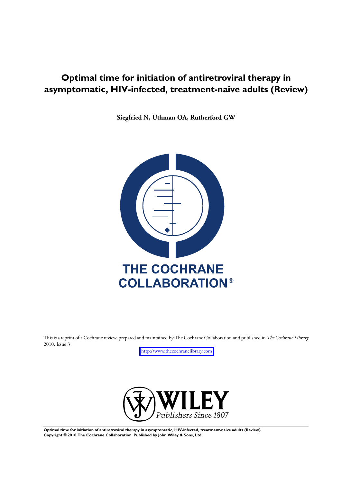# **Optimal time for initiation of antiretroviral therapy in asymptomatic, HIV-infected, treatment-naive adults (Review)**

**Siegfried N, Uthman OA, Rutherford GW**



This is a reprint of a Cochrane review, prepared and maintained by The Cochrane Collaboration and published in *The Cochrane Library* 2010, Issue 3

<http://www.thecochranelibrary.com>



**Optimal time for initiation of antiretroviral therapy in asymptomatic, HIV-infected, treatment-naive adults (Review) Copyright © 2010 The Cochrane Collaboration. Published by John Wiley & Sons, Ltd.**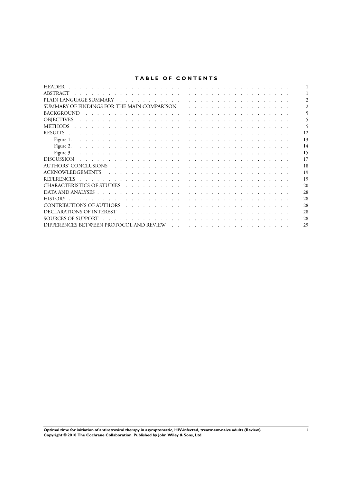## **TABLE OF CONTENTS**

| <b>HEADER</b>                                                                                                                                                                                                                                    |
|--------------------------------------------------------------------------------------------------------------------------------------------------------------------------------------------------------------------------------------------------|
| <b>ABSTRACT</b><br>a constitution of the constitution of the constitution of the constitution of the constitution of the constitution of the constitution of the constitution of the constitution of the constitution of the constitution of the |
| PLAIN LANGUAGE SUMMARY<br>the contract of the contract of the contract of the contract of the contract of                                                                                                                                        |
| SUMMARY OF FINDINGS FOR THE MAIN COMPARISON                                                                                                                                                                                                      |
| <b>BACKGROUND</b>                                                                                                                                                                                                                                |
| <b>OBJECTIVES</b>                                                                                                                                                                                                                                |
| <b>METHODS</b><br>the contract of the contract of the contract of the contract of the contract of the contract of the contract of                                                                                                                |
| <b>RESULTS</b><br>12                                                                                                                                                                                                                             |
| Figure 1.<br>13                                                                                                                                                                                                                                  |
| Figure 2.<br>14                                                                                                                                                                                                                                  |
| Figure 3.<br>15                                                                                                                                                                                                                                  |
| <b>DISCUSSION</b><br>17                                                                                                                                                                                                                          |
| AUTHORS' CONCLUSIONS<br>18                                                                                                                                                                                                                       |
| <b>ACKNOWLEDGEMENTS</b><br>19                                                                                                                                                                                                                    |
| <b>REFERENCES</b><br>19<br>والمتحال والمتحال والمتحال والمتحال والمتحال والمتحال والمتحال والمتحال والمتحال والمتحال والمتحال والمتحالة                                                                                                          |
| CHARACTERISTICS OF STUDIES<br>20                                                                                                                                                                                                                 |
| DATA AND ANALYSES<br>28                                                                                                                                                                                                                          |
| 28<br><b>HISTORY</b>                                                                                                                                                                                                                             |
| CONTRIBUTIONS OF AUTHORS<br>28                                                                                                                                                                                                                   |
| DECLARATIONS OF INTEREST<br>28                                                                                                                                                                                                                   |
| 28<br>SOURCES OF SUPPORT<br>the contract of the contract of the contract of the contract of the contract of the contract of the contract of                                                                                                      |
| 29<br>DIFFERENCES BETWEEN PROTOCOL AND REVIEW                                                                                                                                                                                                    |

**Optimal time for initiation of antiretroviral therapy in asymptomatic, HIV-infected, treatment-naive adults (Review) i Copyright © 2010 The Cochrane Collaboration. Published by John Wiley & Sons, Ltd.**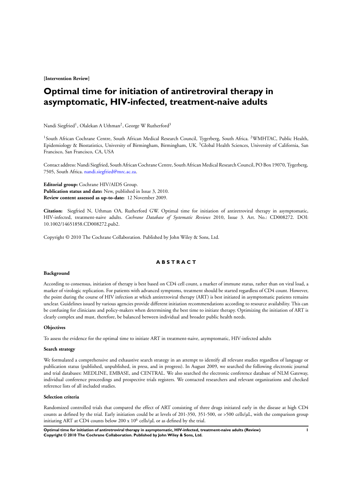**[Intervention Review]**

# **Optimal time for initiation of antiretroviral therapy in asymptomatic, HIV-infected, treatment-naive adults**

Nandi Siegfried<sup>1</sup>, Olalekan A Uthman<sup>2</sup>, George W Rutherford<sup>3</sup>

<sup>1</sup>South African Cochrane Centre, South African Medical Research Council, Tygerberg, South Africa. <sup>2</sup>WMHTAC, Public Health, Epidemiology & Biostatistics, University of Birmingham, Birmingham, UK. <sup>3</sup>Global Health Sciences, University of California, San Francisco, San Francisco, CA, USA

Contact address: Nandi Siegfried, South African Cochrane Centre, South African Medical Research Council, PO Box 19070, Tygerberg, 7505, South Africa. [nandi.siegfried@mrc.ac.za](mailto:nandi.siegfried@mrc.ac.za).

**Editorial group:** Cochrane HIV/AIDS Group. **Publication status and date:** New, published in Issue 3, 2010. **Review content assessed as up-to-date:** 12 November 2009.

**Citation:** Siegfried N, Uthman OA, Rutherford GW. Optimal time for initiation of antiretroviral therapy in asymptomatic, HIV-infected, treatment-naive adults. *Cochrane Database of Systematic Reviews* 2010, Issue 3. Art. No.: CD008272. DOI: 10.1002/14651858.CD008272.pub2.

Copyright © 2010 The Cochrane Collaboration. Published by John Wiley & Sons, Ltd.

## **A B S T R A C T**

## **Background**

According to consensus, initiation of therapy is best based on CD4 cell count, a marker of immune status, rather than on viral load, a marker of virologic replication. For patients with advanced symptoms, treatment should be started regardless of CD4 count. However, the point during the course of HIV infection at which antiretroviral therapy (ART) is best initiated in asymptomatic patients remains unclear. Guidelines issued by various agencies provide different initiation recommendations according to resource availability. This can be confusing for clinicians and policy-makers when determining the best time to initiate therapy. Optimizing the initiation of ART is clearly complex and must, therefore, be balanced between individual and broader public health needs.

#### **Objectives**

To assess the evidence for the optimal time to initiate ART in treatment-naive, asymptomatic, HIV-infected adults

#### **Search strategy**

We formulated a comprehensive and exhaustive search strategy in an attempt to identify all relevant studies regardless of language or publication status (published, unpublished, in press, and in progress). In August 2009, we searched the following electronic journal and trial databases: MEDLINE, EMBASE, and CENTRAL. We also searched the electronic conference database of NLM Gateway, individual conference proceedings and prospective trials registers. We contacted researchers and relevant organizations and checked reference lists of all included studies.

## **Selection criteria**

Randomized controlled trials that compared the effect of ART consisting of three drugs initiated early in the disease at high CD4 counts as defined by the trial. Early initiation could be at levels of 201-350, 351-500, or >500 cells/µL, with the comparison group initiating ART at CD4 counts below 200 x  $10^6$  cells/µL or as defined by the trial.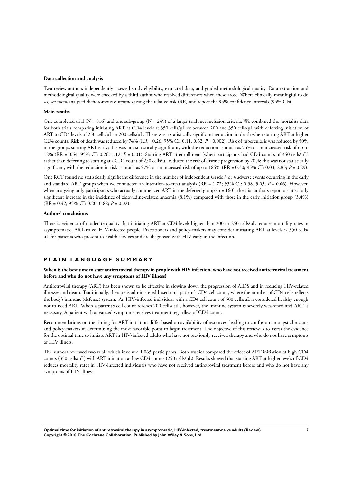#### **Data collection and analysis**

Two review authors independently assessed study eligibility, extracted data, and graded methodological quality. Data extraction and methodological quality were checked by a third author who resolved differences when these arose. Where clinically meaningful to do so, we meta-analysed dichotomous outcomes using the relative risk (RR) and report the 95% confidence intervals (95% CIs).

## **Main results**

One completed trial (N = 816) and one sub-group (N = 249) of a larger trial met inclusion criteria. We combined the mortality data for both trials comparing initiating ART at CD4 levels at 350 cells/µL or between 200 and 350 cells/µL with deferring initiation of ART to CD4 levels of 250 cells/µL or 200 cells/µL. There was a statistically significant reduction in death when starting ART at higher CD4 counts. Risk of death was reduced by 74% (RR = 0.26; 95% CI: 0.11, 0.62; *P* = 0.002). Risk of tuberculosis was reduced by 50% in the groups starting ART early; this was not statistically significant, with the reduction as much as 74% or an increased risk of up to 12% (RR = 0.54; 95% CI: 0.26, 1.12; *P* = 0.01). Starting ART at enrollment (when participants had CD4 counts of 350 cells/µL) rather than deferring to starting at a CD4 count of 250 cells/µL reduced the risk of disease progression by 70%; this was not statistically significant, with the reduction in risk as much as 97% or an increased risk of up to 185% (RR = 0.30; 95% CI: 0.03, 2.85; *P* = 0.29).

One RCT found no statistically significant difference in the number of independent Grade 3 or 4 adverse events occurring in the early and standard ART groups when we conducted an intention-to-treat analysis (RR = 1.72;  $95\%$  CI: 0.98, 3.03;  $P = 0.06$ ). However, when analyzing only participants who actually commenced ART in the deferred group (n = 160), the trial authors report a statistically significant increase in the incidence of zidovudine-related anaemia (8.1%) compared with those in the early initiation group (3.4%) (RR = 0.42; 95% CI: 0.20, 0.88; *P* = 0.02).

#### **Authors' conclusions**

There is evidence of moderate quality that initiating ART at CD4 levels higher than 200 or 250 cells/uL reduces mortality rates in asymptomatic, ART-naive, HIV-infected people. Practitioners and policy-makers may consider initiating ART at levels ≤ 350 cells/ µL for patients who present to health services and are diagnosed with HIV early in the infection.

## **P L A I N L A N G U A G E S U M M A R Y**

## **When is the best time to start antiretroviral therapy in people with HIV infection, who have not received antiretroviral treatment before and who do not have any symptoms of HIV illness?**

Antiretroviral therapy (ART) has been shown to be effective in slowing down the progression of AIDS and in reducing HIV-related illnesses and death. Traditionally, therapy is administered based on a patient's CD4 cell count, where the number of CD4 cells reflects the body's immune (defense) system. An HIV-infected individual with a CD4 cell count of 500 cells/µL is considered healthy enough not to need ART. When a patient's cell count reaches 200 cells/ µL, however, the immune system is severely weakened and ART is necessary. A patient with advanced symptoms receives treatment regardless of CD4 count.

Recommendations on the timing for ART initiation differ based on availability of resources, leading to confusion amongst clinicians and policy-makers in determining the most favorable point to begin treatment. The objective of this review is to assess the evidence for the optimal time to initiate ART in HIV-infected adults who have not previously received therapy and who do not have symptoms of HIV illness.

The authors reviewed two trials which involved 1,065 participants. Both studies compared the effect of ART initiation at high CD4 counts (350 cells/µL) with ART initiation at low CD4 counts (250 cells/µL). Results showed that starting ART at higher levels of CD4 reduces mortality rates in HIV-infected individuals who have not received antiretroviral treatment before and who do not have any symptoms of HIV illness.

**Optimal time for initiation of antiretroviral therapy in asymptomatic, HIV-infected, treatment-naive adults (Review) 2 Copyright © 2010 The Cochrane Collaboration. Published by John Wiley & Sons, Ltd.**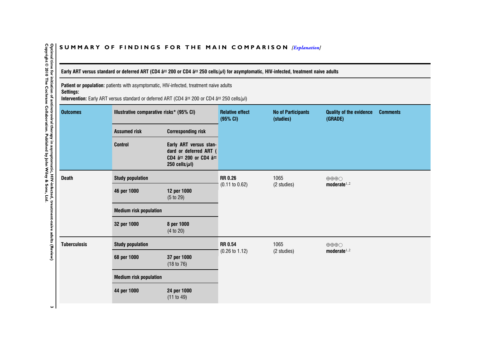## SUMMARY OF FINDINGS FOR THE MAIN COMPARISON *[\[Explanation\]](http://www3.interscience.wiley.com/homepages/106568753/SoFexplanations.pdf)*

Early ART versus standard or deferred ART (CD4  $\hat{a} \approx 200$  or CD4  $\hat{a} \approx 250$  cells/ $\mu$ l) for asymptomatic, HIV-infected, treatment naive adults

**Patient or population:** patients with asymptomatic, HIV-infected, treatment naive adults

**Settings:**

**Intervention:** Early ART versus standard or deferred ART (CD4 â¤ <sup>200</sup> or CD4 â¤ <sup>250</sup> cells/µl)

|                                                                                      | <b>Outcomes</b>     | Illustrative comparative risks* (95% CI) |                                                                                                                                                                             | <b>Relative effect</b><br>(95% CI) | <b>No of Participants</b><br>(studies) | <b>Quality of the evidence</b><br>(GRADE)                    | <b>Comments</b> |
|--------------------------------------------------------------------------------------|---------------------|------------------------------------------|-----------------------------------------------------------------------------------------------------------------------------------------------------------------------------|------------------------------------|----------------------------------------|--------------------------------------------------------------|-----------------|
| ntiretroviral therapy in asymptomatic, HIV-infected, treatment-naive adults (Review) |                     | <b>Assumed risk</b>                      | <b>Corresponding risk</b>                                                                                                                                                   |                                    |                                        |                                                              |                 |
|                                                                                      |                     | <b>Control</b>                           | Early ART versus stan-<br>dard or deferred ART (<br>CD4 $\hat{a}$ <sup><math>\alpha</math></sup> 200 or CD4 $\hat{a}$ <sup><math>\alpha</math></sup><br>250 cells/ $\mu$ l) |                                    |                                        |                                                              |                 |
|                                                                                      | <b>Death</b>        | <b>Study population</b>                  |                                                                                                                                                                             | <b>RR 0.26</b>                     | 1065<br>(2 studies)                    | $\oplus \oplus \oplus \bigcirc$<br>$\textbf{moderate}^{1,2}$ |                 |
|                                                                                      |                     | 46 per 1000                              | 12 per 1000<br>(5 to 29)                                                                                                                                                    | $(0.11 \text{ to } 0.62)$          |                                        |                                                              |                 |
|                                                                                      |                     | <b>Medium risk population</b>            |                                                                                                                                                                             |                                    |                                        |                                                              |                 |
|                                                                                      |                     | 32 per 1000                              | 8 per 1000<br>(4 to 20)                                                                                                                                                     |                                    |                                        |                                                              |                 |
|                                                                                      | <b>Tuberculosis</b> | <b>Study population</b>                  |                                                                                                                                                                             | <b>RR 0.54</b>                     | 1065                                   | $\oplus \oplus \oplus \bigcirc$                              |                 |
|                                                                                      |                     | 68 per 1000                              | 37 per 1000<br>(18 to 76)                                                                                                                                                   | $(0.26 \text{ to } 1.12)$          | (2 studies)                            | moderate <sup>1,2</sup>                                      |                 |
|                                                                                      |                     | <b>Medium risk population</b>            |                                                                                                                                                                             |                                    |                                        |                                                              |                 |
|                                                                                      |                     | 44 per 1000                              | 24 per 1000<br>(11 to 49)                                                                                                                                                   |                                    |                                        |                                                              |                 |
| ς                                                                                    |                     |                                          |                                                                                                                                                                             |                                    |                                        |                                                              |                 |

<span id="page-4-0"></span>Optimal time for initiation of antiretroviral therapy in asymptomatic, HIV-infected, treatment-naive adults (Review)<br>Copyright © 2010 The Cochrane Collaboration. Published by John Wiley & Sons, Ltd. **Copyright © 2010 The Cochrane Collaboration. Published by John Wiley & Sons, Ltd.3 Optimal time for initiation of antiretroviral therapy in asymptomatic, HIV-infected, treatment-naive adults (Review)**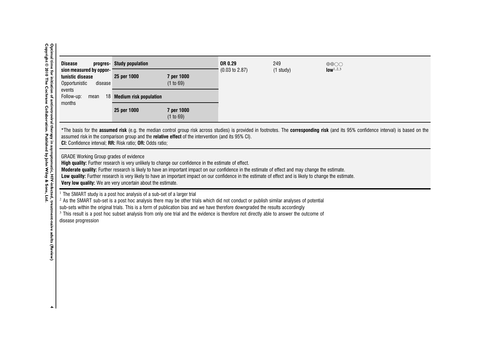| $low^{1,2,3}$<br>$(0.03 \text{ to } 2.87)$<br>sion measured by oppor-<br>$(1$ study)<br>25 per 1000<br>7 per 1000<br>tunistic disease<br>(1 to 69)<br>Opportunistic<br>disease<br>events<br>18 Medium risk population<br>Follow-up:<br>mean<br>months<br>25 per 1000<br>7 per 1000<br>(1 to 69)<br>*The basis for the assumed risk (e.g. the median control group risk across studies) is provided in footnotes. The corresponding risk (and its 95% confidence interval) is based on the<br>assumed risk in the comparison group and the relative effect of the intervention (and its 95% CI).<br>CI: Confidence interval; RR: Risk ratio; OR: Odds ratio;<br><b>GRADE Working Group grades of evidence</b><br>High quality: Further research is very unlikely to change our confidence in the estimate of effect.<br>Moderate quality: Further research is likely to have an important impact on our confidence in the estimate of effect and may change the estimate.<br>Low quality: Further research is very likely to have an important impact on our confidence in the estimate of effect and is likely to change the estimate.<br>Very low quality: We are very uncertain about the estimate. | <b>Disease</b><br>progres- | <b>Study population</b> |  | OR 0.29 | 249 | $\oplus \oplus \cap \cap$ |  |  |  |
|-------------------------------------------------------------------------------------------------------------------------------------------------------------------------------------------------------------------------------------------------------------------------------------------------------------------------------------------------------------------------------------------------------------------------------------------------------------------------------------------------------------------------------------------------------------------------------------------------------------------------------------------------------------------------------------------------------------------------------------------------------------------------------------------------------------------------------------------------------------------------------------------------------------------------------------------------------------------------------------------------------------------------------------------------------------------------------------------------------------------------------------------------------------------------------------------------------|----------------------------|-------------------------|--|---------|-----|---------------------------|--|--|--|
| <sup>1</sup> The SMART study is a post hoc analysis of a sub-set of a larger trial<br>sub-sets within the original trials. This is a form of publication bias and we have therefore downgraded the results accordingly<br>disease progression                                                                                                                                                                                                                                                                                                                                                                                                                                                                                                                                                                                                                                                                                                                                                                                                                                                                                                                                                         |                            |                         |  |         |     |                           |  |  |  |
|                                                                                                                                                                                                                                                                                                                                                                                                                                                                                                                                                                                                                                                                                                                                                                                                                                                                                                                                                                                                                                                                                                                                                                                                       |                            |                         |  |         |     |                           |  |  |  |
| <sup>2</sup> As the SMART sub-set is a post hoc analysis there may be other trials which did not conduct or publish similar analyses of potential<br><sup>3</sup> This result is a post hoc subset analysis from only one trial and the evidence is therefore not directly able to answer the outcome of                                                                                                                                                                                                                                                                                                                                                                                                                                                                                                                                                                                                                                                                                                                                                                                                                                                                                              |                            |                         |  |         |     |                           |  |  |  |
|                                                                                                                                                                                                                                                                                                                                                                                                                                                                                                                                                                                                                                                                                                                                                                                                                                                                                                                                                                                                                                                                                                                                                                                                       |                            |                         |  |         |     |                           |  |  |  |
|                                                                                                                                                                                                                                                                                                                                                                                                                                                                                                                                                                                                                                                                                                                                                                                                                                                                                                                                                                                                                                                                                                                                                                                                       |                            |                         |  |         |     |                           |  |  |  |
|                                                                                                                                                                                                                                                                                                                                                                                                                                                                                                                                                                                                                                                                                                                                                                                                                                                                                                                                                                                                                                                                                                                                                                                                       |                            |                         |  |         |     |                           |  |  |  |
|                                                                                                                                                                                                                                                                                                                                                                                                                                                                                                                                                                                                                                                                                                                                                                                                                                                                                                                                                                                                                                                                                                                                                                                                       |                            |                         |  |         |     |                           |  |  |  |
|                                                                                                                                                                                                                                                                                                                                                                                                                                                                                                                                                                                                                                                                                                                                                                                                                                                                                                                                                                                                                                                                                                                                                                                                       |                            |                         |  |         |     |                           |  |  |  |
|                                                                                                                                                                                                                                                                                                                                                                                                                                                                                                                                                                                                                                                                                                                                                                                                                                                                                                                                                                                                                                                                                                                                                                                                       |                            |                         |  |         |     |                           |  |  |  |
|                                                                                                                                                                                                                                                                                                                                                                                                                                                                                                                                                                                                                                                                                                                                                                                                                                                                                                                                                                                                                                                                                                                                                                                                       |                            |                         |  |         |     |                           |  |  |  |
|                                                                                                                                                                                                                                                                                                                                                                                                                                                                                                                                                                                                                                                                                                                                                                                                                                                                                                                                                                                                                                                                                                                                                                                                       |                            |                         |  |         |     |                           |  |  |  |
|                                                                                                                                                                                                                                                                                                                                                                                                                                                                                                                                                                                                                                                                                                                                                                                                                                                                                                                                                                                                                                                                                                                                                                                                       |                            |                         |  |         |     |                           |  |  |  |
|                                                                                                                                                                                                                                                                                                                                                                                                                                                                                                                                                                                                                                                                                                                                                                                                                                                                                                                                                                                                                                                                                                                                                                                                       |                            |                         |  |         |     |                           |  |  |  |
|                                                                                                                                                                                                                                                                                                                                                                                                                                                                                                                                                                                                                                                                                                                                                                                                                                                                                                                                                                                                                                                                                                                                                                                                       |                            |                         |  |         |     |                           |  |  |  |
|                                                                                                                                                                                                                                                                                                                                                                                                                                                                                                                                                                                                                                                                                                                                                                                                                                                                                                                                                                                                                                                                                                                                                                                                       |                            |                         |  |         |     |                           |  |  |  |
|                                                                                                                                                                                                                                                                                                                                                                                                                                                                                                                                                                                                                                                                                                                                                                                                                                                                                                                                                                                                                                                                                                                                                                                                       |                            |                         |  |         |     |                           |  |  |  |
|                                                                                                                                                                                                                                                                                                                                                                                                                                                                                                                                                                                                                                                                                                                                                                                                                                                                                                                                                                                                                                                                                                                                                                                                       |                            |                         |  |         |     |                           |  |  |  |
|                                                                                                                                                                                                                                                                                                                                                                                                                                                                                                                                                                                                                                                                                                                                                                                                                                                                                                                                                                                                                                                                                                                                                                                                       |                            |                         |  |         |     |                           |  |  |  |
|                                                                                                                                                                                                                                                                                                                                                                                                                                                                                                                                                                                                                                                                                                                                                                                                                                                                                                                                                                                                                                                                                                                                                                                                       |                            |                         |  |         |     |                           |  |  |  |
|                                                                                                                                                                                                                                                                                                                                                                                                                                                                                                                                                                                                                                                                                                                                                                                                                                                                                                                                                                                                                                                                                                                                                                                                       |                            |                         |  |         |     |                           |  |  |  |
|                                                                                                                                                                                                                                                                                                                                                                                                                                                                                                                                                                                                                                                                                                                                                                                                                                                                                                                                                                                                                                                                                                                                                                                                       |                            |                         |  |         |     |                           |  |  |  |

Optimal time for initiation of antiretroviral therapy in asymptomatic, HIV-infected, tr<br>Copyright © 2010 The Cochrane Collaboration. Published by John Wiley & Sons, Ltd.<br>Copyright © 2010 The Cochrane Collaboration. Publi **Copyright © 2010 The Cochrane Collaboration. Published by John Wiley & Sons, Ltd.**

 $\begin{array}{c} \hline \hline \hline \hline \end{array}$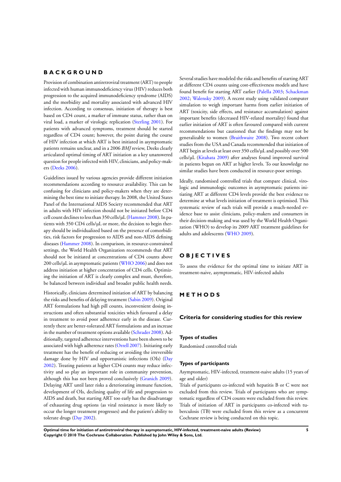## **B A C K G R O U N D**

Provision of combination antiretroviral treatment (ART) to people infected with human immunodeficiency virus (HIV) reduces both progression to the acquired immunodeficiency syndrome (AIDS) and the morbidity and mortality associated with advanced HIV infection. According to consensus, initiation of therapy is best based on CD4 count, a marker of immune status, rather than on viral load, a marker of virologic replication ([Sterling 2001](#page-20-0)). For patients with advanced symptoms, treatment should be started regardless of CD4 count; however, the point during the course of HIV infection at which ART is best initiated in asymptomatic patients remains unclear, and in a 2006 *BMJ* review, Deeks clearly articulated optimal timing of ART initiation as a key unanswered question for people infected with HIV, clinicians, and policy-makers ([Deeks 2006](#page-20-0)).

Guidelines issued by various agencies provide different initiation recommendations according to resource availability. This can be confusing for clinicians and policy-makers when they are determining the best time to initiate therapy. In 2008, the United States Panel of the International AIDS Society recommended that ART in adults with HIV infection should not be initiated before CD4 cell count declines to less than 350 cells/µL ([Hammer 2008\)](#page-20-0). In patients with 350 CD4 cells/µL or more, the decision to begin therapy should be individualized based on the presence of comorbidities, risk factors for progression to AIDS and non-AIDS defining diseases ([Hammer 2008](#page-20-0)). In comparison, in resource-constrained settings, the World Health Organization recommends that ART should not be initiated at concentrations of CD4 counts above 200 cells/µL in asymptomatic patients ([WHO 2006](#page-20-0)) and does not address initiation at higher concentration of CD4 cells. Optimizing the initiation of ART is clearly complex and must, therefore, be balanced between individual and broader public health needs.

Historically, clinicians determined initiation of ART by balancing the risks and benefits of delaying treatment [\(Sabin 2009](#page-20-0)). Original ART formulations had high pill counts, inconvenient dosing instructions and often substantial toxicities which favoured a delay in treatment to avoid poor adherence early in the disease. Currently there are better-tolerated ART formulations and an increase in the number of treatment options available ([Schrader 2008\)](#page-20-0). Additionally, targeted adherence interventions have been shown to be associated with high adherence rates [\(Orrell 2007\)](#page-20-0). Initiating early treatment has the benefit of reducing or avoiding the irreversible damage done by HIV and opportunistic infections (OIs) ([Day](#page-20-0) [2002](#page-20-0)). Treating patients at higher CD4 counts may reduce infectivity and so play an important role in community prevention, although this has not been proved conclusively ([Granich 2009](#page-20-0)). Delaying ART until later risks a deteriorating immune function, development of OIs, declining quality of life and progression to AIDS and death, but starting ART too early has the disadvantage of exhausting drug options (as viral resistance is more likely to occur the longer treatment progresses) and the patient's ability to tolerate drugs ([Day 2002](#page-20-0)).

Several studies have modeled the risks and benefits of starting ART at different CD4 counts using cost-effectiveness models and have found benefit for starting ART earlier ([Palella 2003;](#page-20-0) [Schackman](#page-20-0) [2002](#page-20-0); [Walensky 2009\)](#page-20-0). A recent study using validated computer simulation to weigh important harms from earlier initiation of ART (toxicity, side effects, and resistance accumulation) against important benefits (decreased HIV-related mortality) found that earlier initiation of ART is often favoured compared with current recommendations but cautioned that the findings may not be generalizable to women [\(Braithwaite 2008](#page-20-0)). Two recent cohort studies from the USA and Canada recommended that initiation of ART begin at levels at least over 350 cells/µL and possibly over 500 cells/µL [\(Kitahata 2009\)](#page-20-0) after analyses found improved survival in patients begun on ART at higher levels. To our knowledge no similar studies have been conducted in resource-poor settings.

Ideally, randomised controlled trials that compare clinical, virologic and immunologic outcomes in asymptomatic patients initiating ART at different CD4 levels provide the best evidence to determine at what levels initiation of treatment is optimised. This systematic review of such trials will provide a much-needed evidence base to assist clinicians, policy-makers and consumers in their decision-making and was used by the World Health Organization (WHO) to develop its 2009 ART treatment guidelines for adults and adolescents [\(WHO 2009\)](#page-20-0).

## **O B J E C T I V E S**

To assess the evidence for the optimal time to initiate ART in treatment-naive, asymptomatic, HIV-infected adults

## **M E T H O D S**

## **Criteria for considering studies for this review**

#### **Types of studies**

Randomised controlled trials

#### **Types of participants**

Asymptomatic, HIV-infected, treatment-naive adults (15 years of age and older)

Trials of participants co-infected with hepatitis B or C were not excluded from this review. Trials of participants who are symptomatic regardless of CD4 counts were excluded from this review. Trials of initiation of ART in participants co-infected with tuberculosis (TB) were excluded from this review as a concurrent Cochrane review is being conducted on this topic.

**Optimal time for initiation of antiretroviral therapy in asymptomatic, HIV-infected, treatment-naive adults (Review) 5 Copyright © 2010 The Cochrane Collaboration. Published by John Wiley & Sons, Ltd.**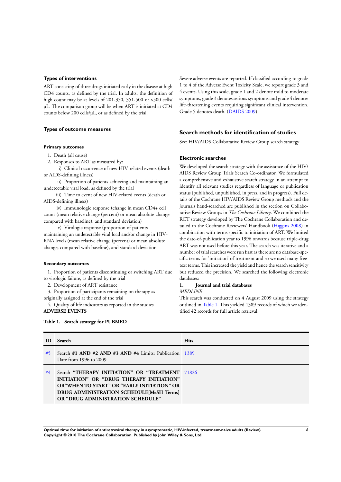## **Types of interventions**

ART consisting of three drugs initiated early in the disease at high CD4 counts, as defined by the trial. In adults, the definition of high count may be at levels of 201-350, 351-500 or >500 cells/ µL. The comparison group will be when ART is initiated at CD4 counts below 200 cells/µL, or as defined by the trial.

### **Types of outcome measures**

## **Primary outcomes**

1. Death (all cause)

2. Responses to ART as measured by:

i) Clinical occurrence of new HIV-related events (death or AIDS-defining illness)

ii) Proportion of patients achieving and maintaining an undetectable viral load, as defined by the trial

iii) Time to event of new HIV-related events (death or AIDS-defining illness)

iv) Immunologic response (change in mean CD4+ cell count (mean relative change (percent) or mean absolute change compared with baseline), and standard deviation)

v) Virologic response (proportion of patients maintaining an undetectable viral load and/or change in HIV-

RNA levels (mean relative change (percent) or mean absolute change, compared with baseline), and standard deviation

#### **Secondary outcomes**

1. Proportion of patients discontinuing or switching ART due to virologic failure, as defined by the trial

2. Development of ART resistance

3. Proportion of participants remaining on therapy as originally assigned at the end of the trial

4. Quality of life indicators as reported in the studies **ADVERSE EVENTS**

## **Table 1. Search strategy for PUBMED**

Severe adverse events are reported. If classified according to grade 1 to 4 of the Adverse Event Toxicity Scale, we report grade 3 and 4 events. Using this scale, grade 1 and 2 denote mild to moderate symptoms, grade 3 denotes serious symptoms and grade 4 denotes life-threatening events requiring significant clinical intervention. Grade 5 denotes death. ([DAIDS 2009](#page-20-0))

## **Search methods for identification of studies**

See: HIV/AIDS Collaborative Review Group search strategy

#### **Electronic searches**

We developed the search strategy with the assistance of the HIV/ AIDS Review Group Trials Search Co-ordinator. We formulated a comprehensive and exhaustive search strategy in an attempt to identify all relevant studies regardless of language or publication status (published, unpublished, in press, and in progress). Full details of the Cochrane HIV/AIDS Review Group methods and the journals hand-searched are published in the section on Collaborative Review Groups in *The Cochrane Library*. We combined the RCT strategy developed by The Cochrane Collaboration and detailed in the Cochrane Reviewers' Handbook [\(Higgins 2008](#page-20-0)) in combination with terms specific to initiation of ART. We limited the date-of-publication year to 1996 onwards because triple-drug ART was not used before this year. The search was iterative and a number of trial searches were run first as there are no database-specific terms for 'initiation' of treatment and so we used many freetext terms. This increased the yield and hence the search sensitivity but reduced the precision. We searched the following electronic databases:

## **1. Journal and trial databases**

*MEDLINE*

This search was conducted on 4 August 2009 using the strategy outlined in Table 1. This yielded 1389 records of which we identified 42 records for full article retrieval.

| ID | <b>Search</b>                                                                                                                                                                                                               | <b>Hits</b> |
|----|-----------------------------------------------------------------------------------------------------------------------------------------------------------------------------------------------------------------------------|-------------|
| #5 | Search #1 AND #2 AND #3 AND #4 Limits: Publication $1389$<br>Date from 1996 to 2009                                                                                                                                         |             |
| #4 | Search "THERAPY INITIATION" OR "TREATMENT 71826<br>INITIATION" OR "DRUG THERAPY INITIATION"<br>OR "WHEN TO START" OR "EARLY INITIATION" OR<br>DRUG ADMINISTRATION SCHEDULE[MeSH Terms]<br>OR "DRUG ADMINISTRATION SCHEDULE" |             |

**Optimal time for initiation of antiretroviral therapy in asymptomatic, HIV-infected, treatment-naive adults (Review) 6 Copyright © 2010 The Cochrane Collaboration. Published by John Wiley & Sons, Ltd.**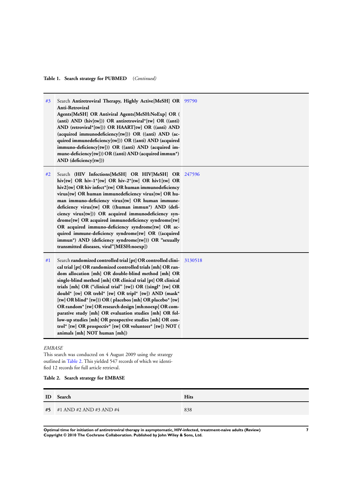**Table 1. Search strategy for PUBMED** (*Continued)*

| #3 | Search Antiretroviral Therapy, Highly Active[MeSH] OR 99790<br><b>Anti-Retroviral</b><br>Agents[MeSH] OR Antiviral Agents[MeSH:NoExp] OR (<br>(anti) AND (hiv[tw])) OR antiretroviral*[tw] OR ((anti)<br>AND (retroviral*[tw])) OR HAART[tw] OR ((anti) AND<br>(acquired immunodeficiency[tw])) OR ((anti) AND (ac-<br>quired immunedeficiency[tw])) OR ((anti) AND (acquired<br>immuno-deficiency[tw])) OR ((anti) AND (acquired im-<br>mune-deficiency[tw])) OR ((anti) AND (acquired immun*)<br>AND (deficiency[tw]))                                                                                                                                                                                      |         |
|----|---------------------------------------------------------------------------------------------------------------------------------------------------------------------------------------------------------------------------------------------------------------------------------------------------------------------------------------------------------------------------------------------------------------------------------------------------------------------------------------------------------------------------------------------------------------------------------------------------------------------------------------------------------------------------------------------------------------|---------|
| #2 | Search (HIV Infections[MeSH] OR HIV[MeSH] OR 247596<br>hiv[tw] OR hiv-1*[tw] OR hiv-2*[tw] OR hiv1[tw] OR<br>hiv2[tw] OR hiv infect*[tw] OR human immunodeficiency<br>virus[tw] OR human immunedeficiency virus[tw] OR hu-<br>man immuno-deficiency virus[tw] OR human immune-<br>deficiency virus[tw] OR ((human immun*) AND (defi-<br>ciency virus[tw])) OR acquired immunodeficiency syn-<br>drome[tw] OR acquired immunedeficiency syndrome[tw]<br>OR acquired immuno-deficiency syndrome[tw] OR ac-<br>quired immune-deficiency syndrome[tw] OR ((acquired<br>immun*) AND (deficiency syndrome[tw])) OR "sexually<br>transmitted diseases, viral"[MESH:noexp])                                           |         |
| #1 | Search randomized controlled trial [pt] OR controlled clini-<br>cal trial [pt] OR randomized controlled trials [mh] OR ran-<br>dom allocation [mh] OR double-blind method [mh] OR<br>single-blind method [mh] OR clinical trial [pt] OR clinical<br>trials [mh] OR ("clinical trial" [tw]) OR ((singl* [tw] OR<br>doubl* [tw] OR trebl* [tw] OR tripl* [tw]) AND (mask*<br>[tw] OR blind* [tw])) OR (placebos [mh] OR placebo* [tw]<br>OR random* [tw] OR research design [mh:noexp] OR com-<br>parative study [mh] OR evaluation studies [mh] OR fol-<br>low-up studies [mh] OR prospective studies [mh] OR con-<br>trol* [tw] OR prospectiv* [tw] OR volunteer* [tw]) NOT (<br>animals [mh] NOT human [mh]) | 3130518 |

*EMBASE*

This search was conducted on 4 August 2009 using the strategy outlined in Table 2. This yielded 547 records of which we identified 12 records for full article retrieval.

**Table 2. Search strategy for EMBASE**

| <b>ID</b> Search             | <b>Hits</b> |
|------------------------------|-------------|
| $#5$ #1 AND #2 AND #3 AND #4 | 838         |
|                              |             |

**Optimal time for initiation of antiretroviral therapy in asymptomatic, HIV-infected, treatment-naive adults (Review) 7 Copyright © 2010 The Cochrane Collaboration. Published by John Wiley & Sons, Ltd.**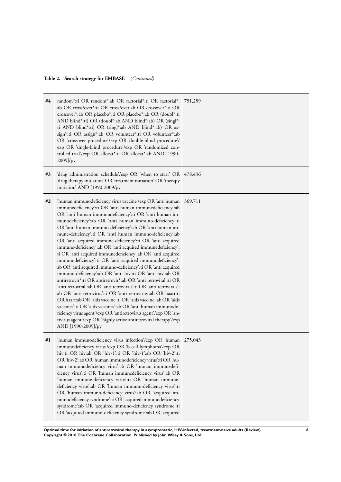## **Table 2. Search strategy for EMBASE** (*Continued)*

| #4 | random*:ti OR random*:ab OR factorial*:ti OR factorial*: 751,259<br>ab OR cross?over*:ti OR cross?over:ab OR crossover*:ti OR<br>crossover*:ab OR placebo*:ti OR placebo*:ab OR (doubl*:ti<br>AND blind*:ti) OR (doubl*:ab AND blind*:ab) OR (singl*:<br>ti AND blind*:ti) OR (singl*:ab AND blind*:ab) OR as-<br>sign*:ti OR assign*:ab OR volunteer*:ti OR volunteer*:ab<br>OR 'crossover procedure'/exp OR 'double-blind procedure'/<br>exp OR 'single-blind procedure'/exp OR 'randomized con-<br>trolled trial'/exp OR allocat*:ti OR allocat*:ab AND [1990-<br>2009]/py                                                                                                                                                                                                                                                                                                                                                                                                                                                                                                                                                                                                                                                                                             |  |
|----|---------------------------------------------------------------------------------------------------------------------------------------------------------------------------------------------------------------------------------------------------------------------------------------------------------------------------------------------------------------------------------------------------------------------------------------------------------------------------------------------------------------------------------------------------------------------------------------------------------------------------------------------------------------------------------------------------------------------------------------------------------------------------------------------------------------------------------------------------------------------------------------------------------------------------------------------------------------------------------------------------------------------------------------------------------------------------------------------------------------------------------------------------------------------------------------------------------------------------------------------------------------------------|--|
| #3 | 'drug administration schedule'/exp OR 'when to start' OR 478,436<br>'drug therapy initiation' OR 'treatment initiation' OR 'therapy<br>initiation' AND [1990-2009/py                                                                                                                                                                                                                                                                                                                                                                                                                                                                                                                                                                                                                                                                                                                                                                                                                                                                                                                                                                                                                                                                                                      |  |
| #2 | 'human immunodeficiency virus vaccine'/exp OR 'anti human 369,711<br>immunedeficiency':ti OR 'anti human immunedeficiency':ab<br>OR 'anti human immunodeficiency':ti OR 'anti human im-<br>munodeficiency':ab OR 'anti human immuno-deficiency':ti<br>OR 'anti human immuno-deficiency':ab OR 'anti human im-<br>mune-deficiency':ti OR 'anti human immune-deficiency':ab<br>OR 'anti acquired immune-deficiency':ti OR 'anti acquired<br>immune-deficiency':ab OR 'anti acquired immunedeficiency':<br>ti OR 'anti acquired immunedeficiency':ab OR 'anti acquired<br>immunodeficiency':ti OR 'anti acquired immunodeficiency':<br>ab OR 'anti acquired immuno-deficiency':ti OR 'anti acquired<br>immuno-deficiency':ab OR 'anti hiv':ti OR 'anti hiv':ab OR<br>antiretrovir*:ti OR antiretrovir*:ab OR 'anti retroviral':ti OR<br>'anti retroviral':ab OR 'anti retrovirals':ti OR 'anti retrovirals':<br>ab OR 'anti retrovirus':ti OR 'anti retrovirus':ab OR haart:ti<br>OR haart:ab OR 'aids vaccine':ti OR 'aids vaccine':ab OR 'aids<br>vaccines':ti OR 'aids vaccines':ab OR 'anti human immunode-<br>ficiency virus agent'/exp OR 'antiretrovirus agent'/exp OR 'an-<br>tivirus agent'/exp OR 'highly active antiretroviral therapy'/exp<br>AND [1990-2009]/py |  |
| #1 | 'human immunodeficiency virus infection'/exp OR 'human 275,043<br>immunodeficiency virus'/exp OR 'b cell lymphoma'/exp OR<br>hiv:ti OR hiv:ab OR 'hiv-1':ti OR 'hiv-1':ab OR 'hiv-2':ti<br>OR 'hiv-2':ab OR 'human immunodeficiency virus':ti OR 'hu-<br>man immunodeficiency virus':ab OR 'human immunedefi-<br>ciency virus':ti OR 'human immunedeficiency virus':ab OR<br>'human immune-deficiency virus':ti OR 'human immune-<br>deficiency virus':ab OR 'human immuno-deficiency virus':ti<br>OR 'human immuno-deficiency virus':ab OR 'acquired im-<br>munodeficiency syndrome':ti OR 'acquired immunodeficiency<br>syndrome':ab OR 'acquired immuno-deficiency syndrome':ti<br>OR 'acquired immuno-deficiency syndrome':ab OR 'acquired                                                                                                                                                                                                                                                                                                                                                                                                                                                                                                                            |  |

**Optimal time for initiation of antiretroviral therapy in asymptomatic, HIV-infected, treatment-naive adults (Review) 8 Copyright © 2010 The Cochrane Collaboration. Published by John Wiley & Sons, Ltd.**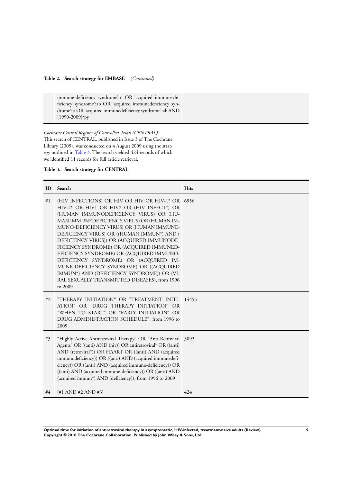## **Table 2. Search strategy for EMBASE** (*Continued)*

immune-deficiency syndrome':ti OR 'acquired immune-deficiency syndrome':ab OR 'acquired immunedeficiency syndrome':ti OR 'acquired immunedeficiency syndrome':ab AND [1990-2009]/py

*Cochrane Central Register of Controlled Trials (CENTRAL)* This search of CENTRAL, published in Issue 3 of The Cochrane Library (2009), was conducted on 4 August 2009 using the strategy outlined in Table 3. The search yielded 424 records of which we identified 11 records for full article retrieval.

## **Table 3. Search strategy for CENTRAL**

| ID | Search                                                                                                                                                                                                                                                                                                                                                                                                                                                                                                                                                                                                             | <b>Hits</b> |
|----|--------------------------------------------------------------------------------------------------------------------------------------------------------------------------------------------------------------------------------------------------------------------------------------------------------------------------------------------------------------------------------------------------------------------------------------------------------------------------------------------------------------------------------------------------------------------------------------------------------------------|-------------|
| #1 | (HIV INFECTIONS) OR HIV OR HIV OR HIV-1* OR 6956<br>HIV-2* OR HIV1 OR HIV2 OR (HIV INFECT*) OR<br>(HUMAN IMMUNODEFICIENCY VIRUS) OR (HU-<br>MAN IMMUNEDEFICIENCY VIRUS) OR (HUMAN IM-<br>MUNO-DEFICIENCY VIRUS) OR (HUMAN IMMUNE-<br>DEFICIENCY VIRUS) OR ((HUMAN IMMUN*) AND (<br>DEFICIENCY VIRUS)) OR (ACQUIRED IMMUNODE-<br>FICIENCY SYNDROME) OR (ACQUIRED IMMUNED-<br>EFICIENCY SYNDROME) OR (ACQUIRED IMMUNO-<br>DEFICIENCY SYNDROME) OR (ACQUIRED IM-<br>MUNE-DEFICIENCY SYNDROME) OR ((ACQUIRED<br>IMMUN*) AND (DEFICIENCY SYNDROME)) OR (VI-<br>RAL SEXUALLY TRANSMITTED DISEASES), from 1996<br>to 2009 |             |
| #2 | "THERAPY INITIATION" OR "TREATMENT INITI- 14455<br>ATION" OR "DRUG THERAPY INITIATION" OR<br>"WHEN TO START" OR "EARLY INITIATION" OR<br>DRUG ADMINISTRATION SCHEDULE", from 1996 to<br>2009                                                                                                                                                                                                                                                                                                                                                                                                                       |             |
| #3 | "Highly Active Antiretroviral Therapy" OR "Anti-Retroviral 3092<br>Agents" OR ((anti) AND (hiv)) OR antiretroviral* OR ((anti)<br>AND (retroviral*)) OR HAART OR ((anti) AND (acquired<br>immunodeficiency)) OR ((anti) AND (acquired immunedefi-<br>ciency)) OR ((anti) AND (acquired immuno-deficiency)) OR<br>((anti) AND (acquired immune-deficiency)) OR ((anti) AND<br>(acquired immun*) AND (deficiency)), from 1996 to 2009                                                                                                                                                                                |             |
| #4 | $(\#1 \text{ AND } \#2 \text{ AND } \#3)$                                                                                                                                                                                                                                                                                                                                                                                                                                                                                                                                                                          | 424         |

**Optimal time for initiation of antiretroviral therapy in asymptomatic, HIV-infected, treatment-naive adults (Review) 9 Copyright © 2010 The Cochrane Collaboration. Published by John Wiley & Sons, Ltd.**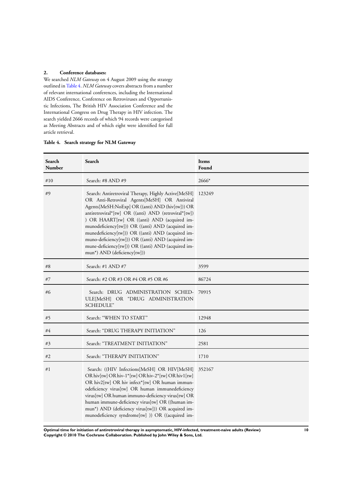## **2. Conference databases:**

We searched *NLM Gateway* on 4 August 2009 using the strategy outlined in Table 4. *NLM Gateway* covers abstracts from a number of relevant international conferences, including the International AIDS Conference, Conference on Retroviruses and Opportunistic Infections, The British HIV Association Conference and the International Congress on Drug Therapy in HIV infection. The search yielded 2666 records of which 94 records were categorised as Meeting Abstracts and of which eight were identified for full article retrieval.

|  |  |  |  | Table 4.   Search strategy for NLM Gateway |  |  |  |  |  |  |  |  |  |
|--|--|--|--|--------------------------------------------|--|--|--|--|--|--|--|--|--|
|--|--|--|--|--------------------------------------------|--|--|--|--|--|--|--|--|--|

| Search<br><b>Number</b> | Search                                                                                                                                                                                                                                                                                                                                                                                                                                                                                                             | Items<br>Found |
|-------------------------|--------------------------------------------------------------------------------------------------------------------------------------------------------------------------------------------------------------------------------------------------------------------------------------------------------------------------------------------------------------------------------------------------------------------------------------------------------------------------------------------------------------------|----------------|
| #10                     | Search: #8 AND #9                                                                                                                                                                                                                                                                                                                                                                                                                                                                                                  | 2666*          |
| #9                      | Search: Antiretroviral Therapy, Highly Active[MeSH]<br>OR Anti-Retroviral Agents[MeSH] OR Antiviral<br>Agents[MeSH:NoExp] OR ((anti) AND (hiv[tw])) OR<br>antiretroviral*[tw] OR ((anti) AND (retroviral*[tw])<br>) OR HAART[tw] OR ((anti) AND (acquired im-<br>munodeficiency[tw])) OR ((anti) AND (acquired im-<br>munedeficiency[tw])) OR ((anti) AND (acquired im-<br>muno-deficiency[tw])) OR ((anti) AND (acquired im-<br>mune-deficiency[tw])) OR ((anti) AND (acquired im-<br>mun*) AND (deficiency[tw])) | 123249         |
| #8                      | Search: #1 AND #7                                                                                                                                                                                                                                                                                                                                                                                                                                                                                                  | 3599           |
| #7                      | Search: #2 OR #3 OR #4 OR #5 OR #6                                                                                                                                                                                                                                                                                                                                                                                                                                                                                 | 86724          |
| #6                      | Search: DRUG ADMINISTRATION SCHED-<br>ULE[MeSH] OR "DRUG ADMINISTRATION<br><b>SCHEDULE"</b>                                                                                                                                                                                                                                                                                                                                                                                                                        | 70915          |
| #5                      | Search: "WHEN TO START"                                                                                                                                                                                                                                                                                                                                                                                                                                                                                            | 12948          |
| #4                      | Search: "DRUG THERAPY INITIATION"                                                                                                                                                                                                                                                                                                                                                                                                                                                                                  | 126            |
| #3                      | Search: "TREATMENT INITIATION"                                                                                                                                                                                                                                                                                                                                                                                                                                                                                     | 2581           |
| #2                      | Search: "THERAPY INITIATION"                                                                                                                                                                                                                                                                                                                                                                                                                                                                                       | 1710           |
| #1                      | Search: ((HIV Infections[MeSH] OR HIV[MeSH]<br>OR hiv[tw] OR hiv-1*[tw] OR hiv-2*[tw] OR hiv1[tw]<br>OR hiv2[tw] OR hiv infect*[tw] OR human immun-<br>odeficiency virus[tw] OR human immunedeficiency<br>virus[tw] OR human immuno-deficiency virus[tw] OR<br>human immune-deficiency virus[tw] OR ((human im-<br>mun*) AND (deficiency virus[tw])) OR acquired im-<br>munodeficiency syndrome[tw] )) OR ((acquired im-                                                                                           | 352167         |

**Optimal time for initiation of antiretroviral therapy in asymptomatic, HIV-infected, treatment-naive adults (Review) 10 Copyright © 2010 The Cochrane Collaboration. Published by John Wiley & Sons, Ltd.**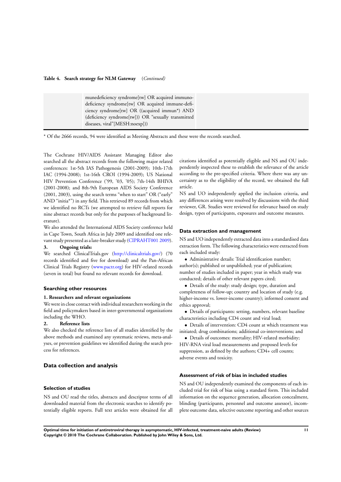## **Table 4. Search strategy for NLM Gateway** (*Continued)*

munedeficiency syndrome[tw] OR acquired immunodeficiency syndrome[tw] OR acquired immune-deficiency syndrome[tw] OR ((acquired immun\*) AND (deficiency syndrome[tw])) OR "sexually transmitted diseases, viral"[MESH:noexp]))

\* Of the 2666 records, 94 were identified as Meeting Abstracts and these were the records searched.

The Cochrane HIV/AIDS Assistant Managing Editor also searched all the abstract records from the following major related conferences: 1st-5th IAS Pathogenesis (2001-2009); 10th-17th IAC (1994-2008); 1st-16th CROI (1994-2009); US National HIV Prevention Conference ('99, '03, '05); 7th-14th BHIVA (2001-2008); and 8th-9th European AIDS Society Conference (2001, 2003), using the search terms "when to start" OR ("early" AND "initia\*") in any field. This retrieved 89 records from which we identified no RCTs (we attempted to retrieve full reports for nine abstract records but only for the purposes of background literature).

We also attended the International AIDS Society conference held in Cape Town, South Africa in July 2009 and identified one relevant study presented as a late-breaker study [\(CIPRAHT001 2009](#page-20-0)).

## **3. Ongoing trials:**

We searched ClinicalTrials.gov [\(http://clinicaltrials.gov/\)](http://clinicaltrials.gov/) (70 records identified and five for download) and the Pan-African Clinical Trials Registry [\(www.pactr.org\)](http://www.pactr.org) for HIV-related records (seven in total) but found no relevant records for download.

#### **Searching other resources**

## **1. Researchers and relevant organizations**

We were in close contact with individual researchers working in the field and policymakers based in inter-governmental organizations including the WHO.

## **2. Reference lists**

We also checked the reference lists of all studies identified by the above methods and examined any systematic reviews, meta-analyses, or prevention guidelines we identified during the search process for references.

## **Data collection and analysis**

## **Selection of studies**

NS and OU read the titles, abstracts and descriptor terms of all downloaded material from the electronic searches to identify potentially eligible reports. Full text articles were obtained for all citations identified as potentially eligible and NS and OU independently inspected these to establish the relevance of the article according to the pre-specified criteria. Where there was any uncertainty as to the eligibility of the record, we obtained the full article.

NS and UO independently applied the inclusion criteria, and any differences arising were resolved by discussions with the third reviewer, GR. Studies were reviewed for relevance based on study design, types of participants, exposures and outcome measures.

#### **Data extraction and management**

NS and UO independently extracted data into a standardised data extraction form. The following characteristics were extracted from each included study:

• Administrative details: Trial identification number; author(s); published or unpublished; year of publication; number of studies included in paper; year in which study was conducted; details of other relevant papers cited;

• Details of the study: study design; type, duration and completeness of follow-up; country and location of study (e.g. higher-income vs. lower-income country); informed consent and ethics approval;

• Details of participants: setting, numbers, relevant baseline characteristics including CD4 count and viral load;

• Details of intervention: CD4 count at which treatment was initiated; drug combinations; additional co-interventions; and

• Details of outcomes: mortality; HIV-related morbidity; HIV-RNA viral load measurements and proposed levels for suppression, as defined by the authors; CD4+ cell counts; adverse events and toxicity.

#### **Assessment of risk of bias in included studies**

NS and OU independently examined the components of each included trial for risk of bias using a standard form. This included information on the sequence generation, allocation concealment, blinding (participants, personnel and outcome assessor), incomplete outcome data, selective outcome reporting and other sources

**Optimal time for initiation of antiretroviral therapy in asymptomatic, HIV-infected, treatment-naive adults (Review) 11 Copyright © 2010 The Cochrane Collaboration. Published by John Wiley & Sons, Ltd.**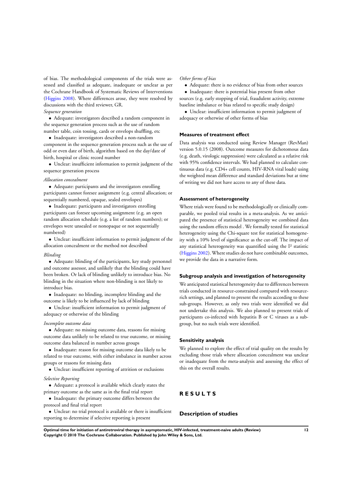of bias. The methodological components of the trials were assessed and classified as adequate, inadequate or unclear as per the Cochrane Handbook of Systematic Reviews of Interventions [\(Higgins 2008\)](#page-20-0). Where differences arose, they were resolved by discussions with the third reviewer, GR.

## *Sequence generation*

• Adequate: investigators described a random component in the sequence generation process such as the use of random number table, coin tossing, cards or envelops shuffling, etc

• Inadequate: investigators described a non-random component in the sequence generation process such as the use of odd or even date of birth, algorithm based on the day/date of birth, hospital or clinic record number

• Unclear: insufficient information to permit judgment of the sequence generation process

## *Allocation concealment*

• Adequate: participants and the investigators enrolling participants cannot foresee assignment (e.g. central allocation; or sequentially numbered, opaque, sealed envelopes)

• Inadequate: participants and investigators enrolling participants can foresee upcoming assignment (e.g. an open random allocation schedule (e.g. a list of random numbers); or envelopes were unsealed or nonopaque or not sequentially numbered)

• Unclear: insufficient information to permit judgment of the allocation concealment or the method not described

#### *Blinding*

• Adequate: blinding of the participants, key study personnel and outcome assessor, and unlikely that the blinding could have been broken. Or lack of blinding unlikely to introduce bias. No blinding in the situation where non-blinding is not likely to introduce bias.

• Inadequate: no blinding, incomplete blinding and the outcome is likely to be influenced by lack of blinding

• Unclear: insufficient information to permit judgment of adequacy or otherwise of the blinding

### *Incomplete outcome data*

• Adequate: no missing outcome data, reasons for missing outcome data unlikely to be related to true outcome, or missing outcome data balanced in number across groups

• Inadequate: reason for missing outcome data likely to be related to true outcome, with either imbalance in number across groups or reasons for missing data

• Unclear: insufficient reporting of attrition or exclusions

#### *Selective Reporting*

• Adequate: a protocol is available which clearly states the primary outcome as the same as in the final trial report

• Inadequate: the primary outcome differs between the protocol and final trial report

• Unclear: no trial protocol is available or there is insufficient reporting to determine if selective reporting is present

## *Other forms of bias*

• Adequate: there is no evidence of bias from other sources

• Inadequate: there is potential bias present from other sources (e.g. early stopping of trial, fraudulent activity, extreme baseline imbalance or bias related to specific study design)

• Unclear: insufficient information to permit judgment of adequacy or otherwise of other forms of bias

## **Measures of treatment effect**

Data analysis was conducted using Review Manager (RevMan) version 5.0.15 (2008). Outcome measures for dichotomous data (e.g. death, virologic suppression) were calculated as a relative risk with 95% confidence intervals. We had planned to calculate continuous data (e.g. CD4+ cell counts, HIV-RNA viral loads) using the weighted mean difference and standard deviations but at time of writing we did not have access to any of these data.

#### **Assessment of heterogeneity**

Where trials were found to be methodologically or clinically comparable, we pooled trial results in a meta-analysis. As we anticipated the presence of statistical heterogeneity we combined data using the random effects model . We formally tested for statistical heterogeneity using the Chi-square test for statistical homogeneity with a 10% level of significance as the cut-off. The impact of any statistical heterogeneity was quantified using the I² statistic [\(Higgins 2002](#page-20-0)). Where studies do not have combinable outcomes, we provide the data in a narrative form.

#### **Subgroup analysis and investigation of heterogeneity**

We anticipated statistical heterogeneity due to differences between trials conducted in resource-constrained compared with resourcerich settings, and planned to present the results according to these sub-groups. However, as only two trials were identified we did not undertake this analysis. We also planned to present trials of participants co-infected with hepatitis B or C viruses as a subgroup, but no such trials were identified.

## **Sensitivity analysis**

We planned to explore the effect of trial quality on the results by excluding those trials where allocation concealment was unclear or inadequate from the meta-analysis and assessing the effect of this on the overall results.

## **R E S U L T S**

## **Description of studies**

**Optimal time for initiation of antiretroviral therapy in asymptomatic, HIV-infected, treatment-naive adults (Review) 12 Copyright © 2010 The Cochrane Collaboration. Published by John Wiley & Sons, Ltd.**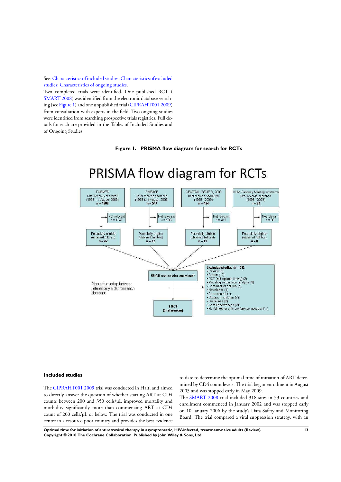<span id="page-14-0"></span>See:[Characteristics of included studies;](#page-22-0)[Characteristics of excluded](#page-26-0) [studies;](#page-26-0) [Characteristics of ongoing studies](#page-26-0).

Two completed trials were identified. One published RCT ( [SMART 2008\)](#page-20-0) was identified from the electronic database searching (see Figure 1) and one unpublished trial [\(CIPRAHT001 2009](#page-20-0)) from consultation with experts in the field. Two ongoing studies were identified from searching prospective trials registries. Full details for each are provided in the Tables of Included Studies and of Ongoing Studies.





# PRISMA flow diagram for RCTs

## **Included studies**

The [CIPRAHT001 2009](#page-20-0) trial was conducted in Haiti and aimed to directly answer the question of whether starting ART at CD4 counts between 200 and 350 cells/µL improved mortality and morbidity significantly more than commencing ART at CD4 count of 200 cells/µL or below. The trial was conducted in one centre in a resource-poor country and provides the best evidence to date to determine the optimal time of initiation of ART determined by CD4 count levels. The trial began enrollment in August 2005 and was stopped early in May 2009.

The [SMART 2008](#page-20-0) trial included 318 sites in 33 countries and enrollment commenced in January 2002 and was stopped early on 10 January 2006 by the study's Data Safety and Monitoring Board. The trial compared a viral suppression strategy, with an

**Optimal time for initiation of antiretroviral therapy in asymptomatic, HIV-infected, treatment-naive adults (Review) 13 Copyright © 2010 The Cochrane Collaboration. Published by John Wiley & Sons, Ltd.**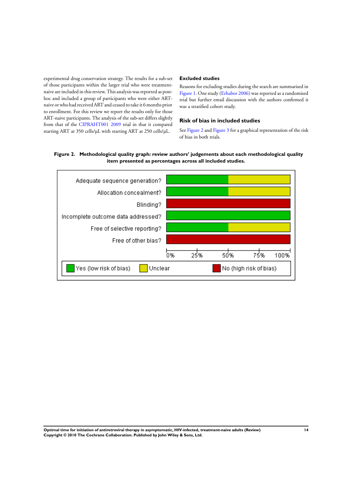experimental drug conservation strategy. The results for a sub-set of those participants within the larger trial who were treatmentnaive are included in this review. This analysis was reported as posthoc and included a group of participants who were either ARTnaive or who had received ART and ceased to take it 6 months prior to enrollment. For this review we report the results only for those ART-naive participants. The analysis of the sub-set differs slightly from that of the [CIPRAHT001 2009](#page-20-0) trial in that it compared starting ART at 350 cells/µL with starting ART at 250 cells/µL.

## **Excluded studies**

Reasons for excluding studies during the search are summarised in [Figure 1](#page-14-0). One study ([Erhabor 2006\)](#page-20-0) was reported as a randomised trial but further email discussion with the authors confirmed it was a stratified cohort study.

## **Risk of bias in included studies**

See Figure 2 and [Figure 3](#page-16-0) for a graphical representation of the risk of bias in both trials.

**Figure 2. Methodological quality graph: review authors' judgements about each methodological quality item presented as percentages across all included studies.**

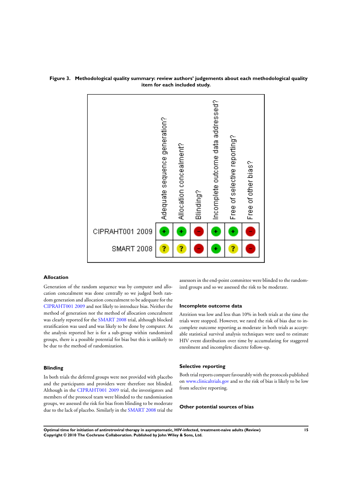## <span id="page-16-0"></span>**Figure 3. Methodological quality summary: review authors' judgements about each methodological quality item for each included study.**



## **Allocation**

Generation of the random sequence was by computer and allocation concealment was done centrally so we judged both random generation and allocation concealment to be adequate for the [CIPRAHT001 2009](#page-20-0) and not likely to introduce bias. Neither the method of generation nor the method of allocation concealment was clearly reported for the [SMART 2008](#page-20-0) trial, although blocked stratification was used and was likely to be done by computer. As the analysis reported her is for a sub-group within randomized groups, there is a possible potential for bias but this is unlikely to be due to the method of randomization.

## **Blinding**

In both trials the deferred groups were not provided with placebo and the participants and providers were therefore not blinded. Although in the [CIPRAHT001 2009](#page-20-0) trial, the investigators and members of the protocol team were blinded to the randomisation groups, we assessed the risk for bias from blinding to be moderate due to the lack of placebo. Similarly in the [SMART 2008](#page-20-0) trial the

assessors in the end-point committee were blinded to the randomized groups and so we assessed the risk to be moderate.

#### **Incomplete outcome data**

Attrition was low and less than 10% in both trials at the time the trials were stopped. However, we rated the risk of bias due to incomplete outcome reporting as moderate in both trials as acceptable statistical survival analysis techniques were used to estimate HIV event distribution over time by accumulating for staggered enrolment and incomplete discrete follow-up.

#### **Selective reporting**

Both trial reports compare favourably with the protocols published on [www.clinicaltrials.gov](http://www.clinicaltrials.gov) and so the risk of bias is likely to be low from selective reporting.

## **Other potential sources of bias**

**Optimal time for initiation of antiretroviral therapy in asymptomatic, HIV-infected, treatment-naive adults (Review) 15 Copyright © 2010 The Cochrane Collaboration. Published by John Wiley & Sons, Ltd.**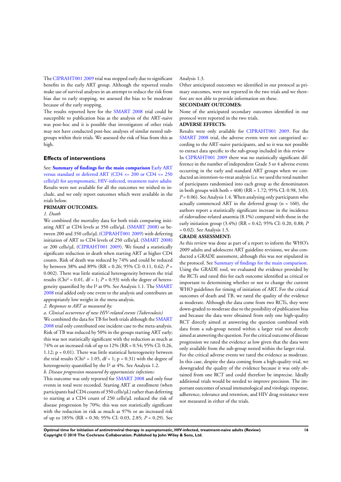The [CIPRAHT001 2009](#page-20-0) trial was stopped early due to significant benefits in the early ART group. Although the reported results make use of survival analyses in an attempt to reduce the risk from bias due to early stopping, we assessed the bias to be moderate because of the early stopping.

The results reported here for the [SMART 2008](#page-20-0) trial could be susceptible to publication bias as the analysis of the ART-naive was post-hoc and it is possible that investigators of other trials may not have conducted post-hoc analyses of similar nested subgroups within their trials. We assessed the risk of bias from this as high.

#### **Effects of interventions**

See: **[Summary of findings for the main comparison](#page-4-0)** [Early ART](#page-4-0) [versus standard or deferred ART \(CD4 <= 200 or CD4 <= 250](#page-4-0) [cells/µl\) for asymptomatic, HIV-infected, treatment naive adults](#page-4-0) Results were not available for all the outcomes we wished to include, and we only report outcomes which were available in the trials below.

## **PRIMARY OUTCOMES:**

#### *1. Death*

We combined the mortality data for both trials comparing initiating ART at CD4 levels at 350 cells/µL [\(SMART 2008\)](#page-20-0) or between 200 and 350 cells/µL ([CIPRAHT001 2009\)](#page-20-0) with deferring initiation of ART to CD4 levels of 250 cells/µL [\(SMART 2008](#page-20-0)) or 200 cells/µL [\(CIPRAHT001 2009\)](#page-20-0). We found a statistically significant reduction in death when starting ART at higher CD4 counts. Risk of death was reduced by 74% and could be reduced by between 38% and 89% (RR = 0.26; 95% CI: 0.11, 0.62; *P* = 0.002). There was little statistical heterogeneity between the trial results (Chi<sup>2</sup> = 0.01, df = 1;  $P = 0.93$ ) with the degree of heterogeneity quantified by the I² at 0%. See Analysis 1.1. The [SMART](#page-20-0) [2008](#page-20-0) trial added only one event to the analysis and contributes an appropriately low weight in the meta-analysis.

*2. Responses to ART as measured by:*

*a. Clinical occurrence of new HIV-related events (Tuberculosis)*

We combined the data for TB for both trials although the [SMART](#page-20-0) [2008](#page-20-0) trial only contributed one incident case to the meta-analysis. Risk of TB was reduced by 50% in the groups starting ART early; this was not statistically significant with the reduction as much as 74% or an increased risk of up to 12% (RR = 0.54; 95% CI: 0.26, 1.12; p = 0.01). There was little statistical heterogeneity between the trial results (Chi<sup>2</sup> = 1.05, df = 1; p = 0.31) with the degree of heterogeneity quantified by the I² at 4%. See Analysis 1.2. *b. Disease progression measured by opportunistic infections:*

This outcome was only reported for [SMART 2008](#page-20-0) and only four events in total were recorded. Starting ART at enrollment (when participants had CD4 counts of 350 cells/µL) rather than deferring to starting at a CD4 count of 250 cells/µL reduced the risk of

disease progression by 70%; this was not statistically significant with the reduction in risk as much as 97% or an increased risk of up to 185% (RR = 0.30; 95% CI: 0.03, 2.85; *P* = 0.29). See

#### Analysis 1.3.

Other anticipated outcomes we identified in our protocol as primary outcomes, were not reported in the two trials and we therefore are not able to provide information on these.

## **SECONDARY OUTCOMES:**

None of the anticipated secondary outcomes identified in our protocol were reported in the two trials.

#### **ADVERSE EFFECTS:**

Results were only available for [CIPRAHT001 2009.](#page-20-0) For the [SMART 2008](#page-20-0) trial, the adverse events were not categorized according to the ART-naive participants, and so it was not possible to extract data specific to the sub-group included in this review

In [CIPRAHT001 2009](#page-20-0) there was no statistically significant difference in the number of independent Grade 3 or 4 adverse events occurring in the early and standard ART groups when we conducted an intention-to-treat analysis (i.e. we used the total number of participants randomised into each group as the denominators in both groups with both = 408) (RR = 1.72; 95% CI: 0.98, 3.03;  $P = 0.06$ . See Analysis 1.4. When analysing only participants who actually commenced ART in the deferred group ( $n = 160$ ), the authors report a statistically significant increase in the incidence of zidovudine-related anaemia (8.1%) compared with those in the early initiation group (3.4%) (RR = 0.42; 95% CI: 0.20, 0.88; *P*  $= 0.02$ ). See Analysis 1.5.

#### **GRADE ASSESSMENT:**

As this review was done as part of a report to inform the WHO's 2009 adults and adolescent ART guideline revisions, we also conducted a GRADE assessment, although this was not stipulated in the protocol. See [Summary of findings for the main comparison](#page-4-0). Using the GRADE tool, we evaluated the evidence provided by the RCTs and rated this for each outcome identified as critical or important to determining whether or not to change the current WHO guidelines for timing of initiation of ART. For the critical outcomes of death and TB, we rated the quality of the evidence as moderate. Although the data come from two RCTs, they were down-graded to moderate due to the possibility of publication bias and because the data were obtained from only one high-quality RCT directly aimed at answering the question combined with data from a sub-group nested within a larger trial not directly aimed at answering the question. For the critical outcome of disease progression we rated the evidence as low given that the data were only available from the sub-group nested within the larger trial.

For the critical adverse events we rated the evidence as moderate. In this case, despite the data coming from a high-quality trial, we downgraded the quality of the evidence because it was only obtained from one RCT and could therefore be imprecise. Ideally additional trials would be needed to improve precision. The important outcomes of sexual immunological and virologic response, adherence, tolerance and retention, and HIV drug resistance were not measured in either of the trials.

**Optimal time for initiation of antiretroviral therapy in asymptomatic, HIV-infected, treatment-naive adults (Review) 16 Copyright © 2010 The Cochrane Collaboration. Published by John Wiley & Sons, Ltd.**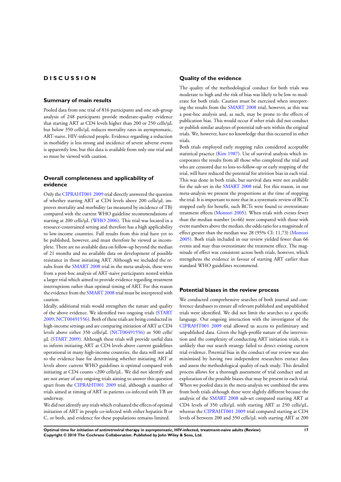## **D I S C U S S I O N**

## **Summary of main results**

Pooled data from one trial of 816 participants and one sub-group analysis of 248 participants provide moderate-quality evidence that starting ART at CD4 levels higher than 200 or 250 cells/µL but below 350 cells/µL reduces mortality rates in asymptomatic, ART-naive, HIV-infected people. Evidence regarding a reduction in morbidity is less strong and incidence of severe adverse events is apparently low, but this data is available from only one trial and so must be viewed with caution.

## **Overall completeness and applicability of evidence**

Only the [CIPRAHT001 2009](#page-20-0) trial directly answered the question of whether starting ART at CD4 levels above 200 cells/µL improves mortality and morbidity (as measured by incidence of TB) compared with the current WHO guideline recommendations of starting at 200 cells/µL [\(WHO 2006\)](#page-20-0). This trial was located in a resource-constrained setting and therefore has a high applicability to low-income countries. Full results from this trial have yet to be published, however, and must therefore be viewed as incomplete. There are no available data on follow-up beyond the median of 21 months and no available data on development of possible resistance in those initiating ART. Although we included the results from the [SMART 2008](#page-20-0) trial in the meta-analysis, these were from a post-hoc analysis of ART-naive participants nested within a larger trial which aimed to provide evidence regarding treatment interruptions rather than optimal timing of ART. For this reason the evidence from the [SMART 2008](#page-20-0) trial must be interpreted with caution.

Ideally, additional trials would strengthen the nature and quality of the above evidence. We identified two ongoing trials [\(START](#page-20-0) [2009](#page-20-0); [NCT00491556](#page-20-0)). Both of these trials are being conducted in high-income settings and are comparing initiation of ART at CD4 levels above either 350 cells/µL ([NCT00491556\)](#page-20-0) or 500 cells/ µL [\(START 2009](#page-20-0)). Although these trials will provide useful data to inform initiating ART at CD4 levels above current guidelines operational in many high-income countries, the data will not add to the evidence base for determining whether initiating ART at levels above current WHO guidelines is optimal compared with initiating at CD4 counts <200 cells/µL. We did not identify and are not aware of any ongoing trials aiming to answer this question apart from the [CIPRAHT001 2009](#page-20-0) trial, although a number of trials aimed at timing of ART in patients co-infected with TB are underway.

We did not identify any trials which evaluated the effects of optimal initiation of ART in people co-infected with either hepatitis B or C, or both, and evidence for these populations remains limited.

## **Quality of the evidence**

The quality of the methodological conduct for both trials was moderate to high and the risk of bias was likely to be low to moderate for both trials. Caution must be exercised when interpreting the results from the [SMART 2008](#page-20-0) trial, however, as this was a post-hoc analysis and, as such, may be prone to the effects of publication bias. This would occur if other trials did not conduct or publish similar analyses of potential sub-sets within the original trials. We, however, have no knowledge that this occurred in other trials.

Both trials employed early stopping rules considered acceptable statistical practice ([Kim 1987](#page-20-0)). Use of survival analysis which incorporates the results from all those who completed the trial and who are censored due to loss-to-follow-up or early stopping of the trial, will have reduced the potential for attrition bias in each trial. This was done in both trials, but survival data were not available for the sub-set in the [SMART 2008](#page-20-0) trial. For this reason, in our meta-analysis we present the proportions at the time of stopping the trial. It is important to note that in a systematic review of RCTs stopped early for benefit, such RCTs were found to overestimate treatment effects [\(Montori 2005](#page-20-0)). When trials with events fewer than the median number (n=66) were compared with those with event numbers above the median, the odds ratio for a magnitude of effect greater than the median was 28 (95% CI: 11,73) ([Montori](#page-20-0) [2005](#page-20-0)). Both trials included in our review yielded fewer than 66 events and may thus overestimate the treatment effect. The magnitude of effect was consistent across both trials, however, which strengthens the evidence in favour of starting ART earlier than standard WHO guidelines recommend.

## **Potential biases in the review process**

We conducted comprehensive searches of both journal and conference databases to ensure all relevant published and unpublished trials were identified. We did not limit the searches to a specific language. Our ongoing interaction with the investigator of the [CIPRAHT001 2009](#page-20-0) trial allowed us access to preliminary and unpublished data. Given the high-profile nature of the intervention and the complexity of conducting ART initiation trials, it is unlikely that our search strategy failed to detect existing current trial evidence. Potential bias in the conduct of our review was also minimised by having two independent researchers extract data and assess the methodological quality of each study. This detailed process allows for a thorough assessment of trial conduct and an exploration of the possible biases that may be present in each trial. When we pooled data in the meta-analysis we combined the arms from both trials although these were slightly different because the analysis of the [SMART 2008](#page-20-0) sub-set compared starting ART at CD4 levels of 350 cells/µL with starting ART at 250 cells/µL, whereas the [CIPRAHT001 2009](#page-20-0) trial compared starting at CD4 levels of between 200 and 350 cells/µL with starting ART at 200

**Optimal time for initiation of antiretroviral therapy in asymptomatic, HIV-infected, treatment-naive adults (Review) 17 Copyright © 2010 The Cochrane Collaboration. Published by John Wiley & Sons, Ltd.**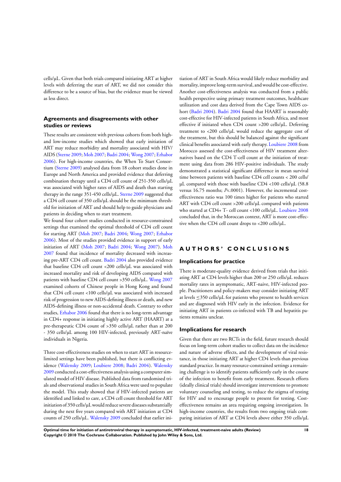cells/µL. Given that both trials compared initiating ART at higher levels with deferring the start of ART, we did not consider this difference to be a source of bias, but the evidence must be viewed as less direct.

## **Agreements and disagreements with other studies or reviews**

These results are consistent with previous cohorts from both highand low-income studies which showed that early initiation of ART may reduce morbidity and mortality associated with HIV/ AIDS ([Sterne 2009](#page-20-0); [Moh 2007](#page-20-0); [Badri 2004;](#page-20-0) [Wong 2007](#page-20-0); [Erhabor](#page-20-0) [2006](#page-20-0)). For high-income countries, the When To Start Consortium [\(Sterne 2009](#page-20-0)) analysed data from 18 cohort studies done in Europe and North America and provided evidence that deferring combination therapy until a CD4 cell count of 251-350 cells/µL was associated with higher rates of AIDS and death than starting therapy in the range 351-450 cells/µL. [Sterne 2009](#page-20-0) suggested that a CD4 cell count of 350 cells/µL should be the minimum threshold for initiation of ART and should help to guide physicians and patients in deciding when to start treatment.

We found four cohort studies conducted in resource-constrained settings that examined the optimal threshold of CD4 cell count for starting ART ([Moh 2007](#page-20-0); [Badri 2004;](#page-20-0) [Wong 2007](#page-20-0); [Erhabor](#page-20-0) [2006](#page-20-0)). Most of the studies provided evidence in support of early initiation of ART ([Moh 2007;](#page-20-0) [Badri 2004](#page-20-0); [Wong 2007\)](#page-20-0). [Moh](#page-20-0) [2007](#page-20-0) found that incidence of mortality decreased with increasing pre-ART CD4 cell count. [Badri 2004](#page-20-0) also provided evidence that baseline CD4 cell count <200 cells/µL was associated with increased mortality and risk of developing AIDS compared with patients with baseline CD4 cell count >350 cells/µL. [Wong 2007](#page-20-0) examined cohorts of Chinese people in Hong Kong and found that CD4 cell count <100 cells/µL was associated with increased risk of progression to new AIDS-defining illness or death, and new AIDS-defining illness or non-accidental death. Contrary to other studies, [Erhabor 2006](#page-20-0) found that there is no long-term advantage in CD4+ response in initiating highly active ART (HAART) at a pre-therapeutic CD4 count of >350 cells/µL rather than at 200 - 350 cells/µL among 100 HIV-infected, previously ART-naïve individuals in Nigeria.

Three cost-effectiveness studies on when to start ART in resourcelimited settings have been published, but there is conflicting evidence [\(Walensky 2009](#page-20-0); [Loubiere 2008](#page-20-0); [Badri 2004](#page-20-0)). [Walensky](#page-20-0) [2009](#page-20-0) conducted a cost-effectiveness analysis using a computer simulated model of HIV disease. Published data from randomised trials and observational studies in South Africa were used to populate the model. This study showed that if HIV-infected patients are identified and linked to care, a CD4 cell count threshold for ART initiation of 350 cells/µL would reduce severe diseases substantially during the next five years compared with ART initiation at CD4 counts of 250 cells/µL. [Walensky 2009](#page-20-0) concluded that earlier ini-

tiation of ART in South Africa would likely reduce morbidity and mortality, improve long-term survival, and would be cost-effective. Another cost-effectiveness analysis was conducted from a public health perspective using primary treatment outcomes, healthcare utilization and cost data derived from the Cape Town AIDS cohort [\(Badri 2004\)](#page-20-0). [Badri 2004](#page-20-0) found that HAART is reasonably cost-effective for HIV-infected patients in South Africa, and most effective if initiated when CD4 count >200 cells/µL. Deferring treatment to <200 cells/µL would reduce the aggregate cost of the treatment, but this should be balanced against the significant clinical benefits associated with early therapy. [Loubiere 2008](#page-20-0) from Morocco assessed the cost-effectiveness of HIV treatment alternatives based on the CD4 T-cell count at the initiation of treatment using data from 286 HIV-positive individuals. The study demonstrated a statistical significant difference in mean survival time between patients with baseline CD4 cell counts < 200 cells/ µL compared with those with baseline CD4 <100 cells/µL (58.8 versus 16.75 months; *P*<.0001). However, the incremental costeffectiveness ratio was 100 times higher for patients who started ART with CD4 cell count >200 cells/µL compared with patients who started at CD4+ T- cell count <100 cells/µL. [Loubiere 2008](#page-20-0) concluded that, in the Moroccan context, ART is more cost-effective when the CD4 cell count drops to <200 cells/µL.

## **A U T H O R S ' C O N C L U S I O N S**

## **Implications for practice**

There is moderate-quality evidence derived from trials that initiating ART at CD4 levels higher than 200 or 250 cells/µL reduces mortality rates in asymptomatic, ART-naive, HIV-infected people. Practitioners and policy-makers may consider initiating ART at levels ≤350 cells/µL for patients who present to health services and are diagnosed with HIV early in the infection. Evidence for initiating ART in patients co-infected with TB and hepatitis patients remains unclear.

#### **Implications for research**

Given that there are two RCTs in the field, future research should focus on long-term cohort studies to collect data on the incidence and nature of adverse effects, and the development of viral resistance, in those initiating ART at higher CD4 levels than previous standard practice. In many resource-constrained settings a remaining challenge is to identify patients sufficiently early in the course of the infection to benefit from early treatment. Research efforts (ideally clinical trials) should investigate interventions to promote voluntary counseling and testing, to reduce the stigma of testing for HIV and to encourage people to present for testing. Costeffectiveness remains an area requiring ongoing investigation. In high-income countries, the results from two ongoing trials comparing initiation of ART at CD4 levels above either 350 cells/µL

**Optimal time for initiation of antiretroviral therapy in asymptomatic, HIV-infected, treatment-naive adults (Review) 18 Copyright © 2010 The Cochrane Collaboration. Published by John Wiley & Sons, Ltd.**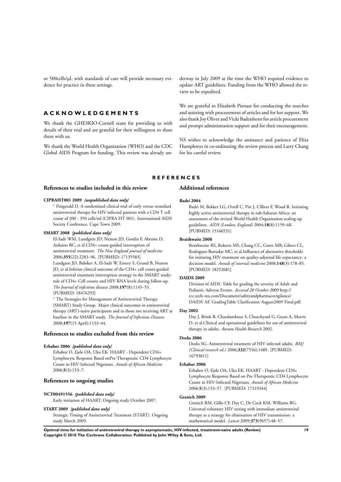<span id="page-20-0"></span>or 500cells/µL with standards of care will provide necessary evidence for practice in these settings.

## **A C K N O W L E D G E M E N T S**

We thank the GHESKIO-Cornell team for providing us with details of their trial and are grateful for their willingness to share these with us.

We thank the World Health Organization (WHO) and the CDC Global AIDS Program for funding. This review was already underway in July 2009 at the time the WHO required evidence to update ART guidelines. Funding from the WHO allowed the review to be expedited.

We are grateful to Elizabeth Pienaar for conducting the searches and assisting with procurement of articles and for her support. We also thank Joy Oliver and Vicki Badenhorst for article procurement and prompt administration support and for their encouragement.

NS wishes to acknowledge the assistance and patience of Eliza Humphreys in co-ordinating the review process and Larry Chang for his careful review.

## **R E F E R E N C E S**

#### **References to studies included in this review**

## **CIPRAHT001 2009** *{unpublished data only}*

<sup>∗</sup> Fitzgerald D. A randomized clinical trial of early versus strandard antiretroviral therapy for HIV-infected patients with a CD4 T cell count of 200 - 350 cells/ml (CIPRA HT 001). International AIDS Society Conference, Cape Town 2009.

#### **SMART 2008** *{published data only}*

El-Sadr WM, Lundgren JD, Neaton JD, Gordin F, Abrams D, Arduino RC, et al.CD4+ count-guided interruption of antiretroviral treatment. *The New England journal of medicine* 2006;**355**(22):2283–96. [PUBMED: 17135583] Lundgren JD, Babiker A, El-Sadr W, Emery S, Grund B, Neaton JD, et al.Inferior clinical outcome of the CD4+ cell count-guided antiretroviral treatment interruption strategy in the SMART study: role of CD4+ Cell counts and HIV RNA levels during follow-up. *The Journal of infectious diseases* 2008;**197**(8):1145–55. [PUBMED: 18476293]

<sup>∗</sup> The Strategies for Management of Antiretroviral Therapy (SMART) Study Group. Major clinical outcomes in antiretroviral therapy (ART)-naive participants and in those not receiving ART at baseline in the SMART study. *The Journal of Infectious Diseases* 2008;**197**(15 April):1133–44.

## **References to studies excluded from this review**

#### **Erhabor 2006** *{published data only}*

Erhabor O, Ejele OA, Uko EK. HAART - Dependent CD4+ Lymphocyte Response Based onPre-Therapeutic CD4 Lymphocyte Count in HIV-Infected Nigerians. *Annals of African Medicine* 2006;**5**(3):153–7.

## **References to ongoing studies**

#### **NCT00491556** *{published data only}*

Early initiation of HAART. Ongoing study October 2007.

#### **START 2009** *{published data only}*

Strategic Timing of Antiretroviral Treatment (START). Ongoing study March 2009.

#### **Additional references**

#### **Badri 2004**

Badri M, Bekker LG, Orrell C, Pitt J, Cilliers F, Wood R. Initiating highly active antiretroviral therapy in sub-Saharan Africa: an assessment of the revised World Health Organization scaling-up guidelines. *AIDS (London, England)* 2004;**18**(8):1159–68. [PUBMED: 15166531]

#### **Braithwaite 2008**

Braithwaite RS, Roberts MS, Chang CC, Goetz MB, Gibert CL, Rodriguez-Barradas MC, et al.Influence of alternative thresholds for initiating HIV treatment on quality-adjusted life expectancy: a decision model. *Annals of internal medicine* 2008;**148**(3):178–85. [PUBMED: 18252681]

## **DAIDS 2009**

Division of AIDS. Table for grading the severity of Adult and Pediatric Adverse Events. *Accessed 28 October 2009* http:// rcc.tech–res.com/Document/safetyandpharmacovigilance/ DAIDS˙AE˙GradingTable˙Clarification˙August2009˙Final.pdf.

#### **Day 2002**

Day J, Brink B, Charalambous S, Churchyard G, Grant A, Morris D, et al.Clinical and operational guidelines for use of antiretroviral therapy in adults. *Aurum Health Research* 2002.

#### **Deeks 2006**

Deeks SG. Antiretroviral treatment of HIV infected adults. *BMJ (Clinical research ed.)* 2006;**332**(7556):1489. [PUBMED: 16793811]

## **Erhabor 2006**

Erhabor O, Ejele OA, Uko EK. HAART - Dependent CD4+ Lymphocyte Response Based on Pre-Therapeutic CD4 Lymphocyte Count in HIV-Infected Nigerians. *Annals of African Medicine* 2006;**5**(3):153–57. [PUBMED: 17319344]

#### **Granich 2009**

Granich RM, Gilks CF, Dye C, De Cock KM, Williams BG. Universal voluntary HIV testing with immediate antiretroviral therapy as a strategy for elimination of HIV transmission: a mathematical model. *Lancet* 2009;**373**(9657):48–57.

**Optimal time for initiation of antiretroviral therapy in asymptomatic, HIV-infected, treatment-naive adults (Review) 19 Copyright © 2010 The Cochrane Collaboration. Published by John Wiley & Sons, Ltd.**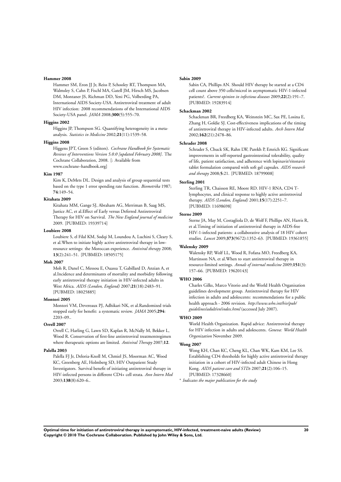#### **Hammer 2008**

Hammer SM, Eron JJ Jr, Reiss P, Schooley RT, Thompson MA, Walmsley S, Cahn P, Fischl MA, Gatell JM, Hirsch MS, Jacobsen DM, Montaner JS, Richman DD, Yeni PG, Volberding PA, International AIDS Society-USA. Antiretroviral treatment of adult HIV infection: 2008 recommendations of the International AIDS Society-USA panel. *JAMA* 2008;**300**(5):555–70.

## **Higgins 2002**

Higgins JP, Thompson SG. Quantifying heterogeneity in a metaanalysis. *Statistics in Medicine* 2002;**21**(11):1539–58.

## **Higgins 2008**

Higgens JPT, Green S (editors). *Cochrane Handbook for Systematic Reviews of Interventions Version 5.0.0 [updated February 2008]*. The Cochrane Collaboration, 2008. [: Available from www.cochrane–handbook.org]

#### **Kim 1987**

Kim K, DeMets DL. Design and analysis of group sequential tests based on the type 1 error spending rate function. *Biometrika* 1987; **74**:149–54.

## **Kitahata 2009**

Kitahata MM, Gange SJ, Abraham AG, Merriman B, Saag MS, Justice AC, et al.Effect of Early versus Deferred Antiretroviral Therapy for HIV on Survival. *The New England journal of medicine* 2009. [PUBMED: 19339714]

#### **Loubiere 2008**

Loubiere S, el Filal KM, Sodqi M, Loundou A, Luchini S, Cleary S, et al.When to initiate highly active antiretroviral therapy in lowresource settings: the Moroccan experience. *Antiviral therapy* 2008; **13**(2):241–51. [PUBMED: 18505175]

#### **Moh 2007**

Moh R, Danel C, Messou E, Ouassa T, Gabillard D, Anzian A, et al.Incidence and determinants of mortality and morbidity following early antiretroviral therapy initiation in HIV-infected adults in West Africa. *AIDS (London, England)* 2007;**21**(18):2483–91. [PUBMED: 18025885]

#### **Montori 2005**

Montori VM, Devereaux PJ, Adhikari NK, et al.Randomized trials stopped early for benefit: a systematic review. *JAMA* 2005;**294**: 2203–09..

## **Orrell 2007**

Orrell C, Harling G, Lawn SD, Kaplan R, McNally M, Bekker L, Wood R. Conservation of first-line antiretroviral treatmentregimen where therapeutic options are limited. *Antiviral Therapy* 2007;**12**.

## **Palella 2003**

Palella FJ Jr, Deloria-Knoll M, Chmiel JS, Moorman AC, Wood KC, Greenberg AE, Holmberg SD, HIV Outpatient Study Investigators. Survival benefit of initiating antiretroviral therapy in HIV-infected persons in different CD4+ cell strata. *Ann Intern Med* 2003;**138**(8):620–6..

#### **Sabin 2009**

Sabin CA, Phillips AN. Should HIV therapy be started at a CD4 cell count above 350 cells/microl in asymptomatic HIV-1-infected patients?. *Current opinion in infectious diseases* 2009;**22**(2):191–7. [PUBMED: 19283914]

#### **Schackman 2002**

Schackman BR, Freedberg KA, Weinstein MC, Sax PE, Losina E, Zhang H, Goldie SJ. Cost-effectiveness implications of the timing of antiretroviral therapy in HIV-infected adults. *Arch Intern Med* 2002;**162**(21):2478–86.

#### **Schrader 2008**

Schrader S, Chuck SK, Rahn LW, Parekh P, Emrich KG. Significant improvements in self-reported gastrointestinal tolerability, quality of life, patient satisfaction, and adherence with lopinavir/ritonavir tablet formulation compared with soft gel capsules. *AIDS research and therapy* 2008;**5**:21. [PUBMED: 18799008]

## **Sterling 2001**

Sterling TR, Chaisson RE, Moore RD. HIV-1 RNA, CD4 Tlymphocytes, and clinical response to highly active antiretroviral therapy. *AIDS (London, England)* 2001;**15**(17):2251–7. [PUBMED: 11698698]

#### **Sterne 2009**

Sterne JA, May M, Costagliola D, de Wolf F, Phillips AN, Harris R, et al.Timing of initiation of antiretroviral therapy in AIDS-free HIV-1-infected patients: a collaborative analysis of 18 HIV cohort studies. *Lancet* 2009;**373**(9672):1352–63. [PUBMED: 19361855]

#### **Walensky 2009**

Walensky RP, Wolf LL, Wood R, Fofana MO, Freedberg KA, Martinson NA, et al.When to start antiretroviral therapy in resource-limited settings. *Annals of internal medicine* 2009;**151**(3): 157–66. [PUBMED: 19620143]

#### **WHO 2006**

Charles Gilks, Marco Vitorio and the World Health Organisation guidelines development group. Antiretroviral therapy for HIV infection in adults and adolescents: recommendations for a public health approach - 2006 revision. *http://www.who.int/hiv/pub/ guidelines/adult/en/index.html* (accessed July 2007).

#### **WHO 2009**

World Health Organization. Rapid advice: Antiretroviral therapy for HIV infection in adults and adolescents. *Geneva: World Health Organization* November 2009.

## **Wong 2007**

Wong KH, Chan KC, Cheng KL, Chan WK, Kam KM, Lee SS. Establishing CD4 thresholds for highly active antiretroviral therapy initiation in a cohort of HIV-infected adult Chinese in Hong Kong. *AIDS patient care and STDs* 2007;**21**(2):106–15. [PUBMED: 17328660]

∗ *Indicates the major publication for the study*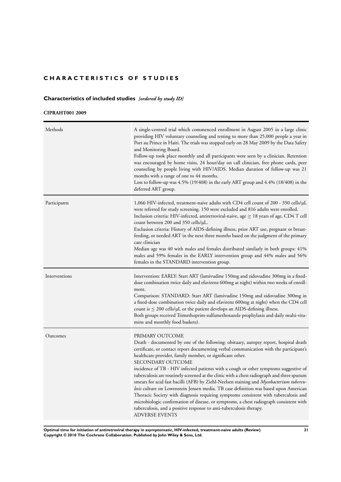## <span id="page-22-0"></span>**CHARACTERISTICS OF STUDIES**

## **Characteristics of included studies** *[ordered by study ID]*

## **CIPRAHT001 2009**

| Methods       | A single-centred trial which commenced enrollment in August 2005 in a large clinic<br>providing HIV voluntary counseling and testing to more than 25,000 people a year in<br>Port au Prince in Haiti. The trials was stopped early on 28 May 2009 by the Data Safety<br>and Monitoring Board.<br>Follow-up took place monthly and all participants were seen by a clinician. Retention<br>was encouraged by home visits, 24 hour/day on call clinician, free phone cards, peer<br>counseling by people living with HIV/AIDS. Median duration of follow-up was 21<br>months with a range of one to 44 months.<br>Loss to follow-up was 4.5% (19/408) in the early ART group and 4.4% (18/408) in the<br>deferred ART group.                                                                                                                                                                                                                           |
|---------------|------------------------------------------------------------------------------------------------------------------------------------------------------------------------------------------------------------------------------------------------------------------------------------------------------------------------------------------------------------------------------------------------------------------------------------------------------------------------------------------------------------------------------------------------------------------------------------------------------------------------------------------------------------------------------------------------------------------------------------------------------------------------------------------------------------------------------------------------------------------------------------------------------------------------------------------------------|
| Participants  | 1,066 HIV-infected, treatment-naive adults with CD4 cell count of 200 - 350 cells/µL<br>were referred for study screening. 150 were excluded and 816 adults were enrolled.<br>Inclusion criteria: HIV-infected, antiretroviral-naive, age $\geq 18$ years of age, CD4 T cell<br>count between 200 and 350 cells/µL.<br>Exclusion criteria: History of AIDS-defining illness, prior ART use, pregnant or breast-<br>feeding, or needed ART in the next three months based on the judgment of the primary<br>care clinician<br>Median age was 40 with males and females distributed similarly in both groups: 41%<br>males and 59% females in the EARLY intervention group and 44% males and 56%<br>females in the STANDARD intervention group.                                                                                                                                                                                                        |
| Interventions | Intervention: EARLY: Start ART (lamivudine 150mg and zidovudine 300mg in a fixed-<br>dose combination twice daily and efavirenz 600mg at night) within two weeks of enroll-<br>ment.<br>Comparison: STANDARD: Start ART (lamivudine 150mg and zidovudine 300mg in<br>a fixed-dose combination twice daily and efavirenz 600mg at night) when the CD4 cell<br>count is $\leq 200$ cells/ $\mu$ L or the patient develops an AIDS-defining illness.<br>Both groups received Trimethoprim-sulfamethoxazole prophylaxis and daily multi-vita-<br>mins and monthly food baskets).                                                                                                                                                                                                                                                                                                                                                                         |
| Outcomes      | PRIMARY OUTCOME<br>Death - documented by one of the following: obituary, autopsy report, hospital death<br>certificate, or contact report documenting verbal communication with the participant's<br>healthcare provider, family member, or significant other.<br>SECONDARY OUTCOME<br>incidence of TB - HIV infected patients with a cough or other symptoms suggestive of<br>tuberculosis are routinely screened at the clinic with a chest radiograph and three sputum<br>smears for acid fast bacilli (AFB) by Ziehl-Neelsen staining and <i>Mycobacterium tubercu-</i><br>losis culture on Lowenstein Jensen media. TB case definition was based upon American<br>Thoracic Society with diagnosis requiring symptoms consistent with tuberculosis and<br>microbiologic confirmation of disease, or symptoms, a chest radiograph consistent with<br>tuberculosis, and a positive response to anti-tuberculosis therapy.<br><b>ADVERSE EVENTS</b> |

**Optimal time for initiation of antiretroviral therapy in asymptomatic, HIV-infected, treatment-naive adults (Review) 21 Copyright © 2010 The Cochrane Collaboration. Published by John Wiley & Sons, Ltd.**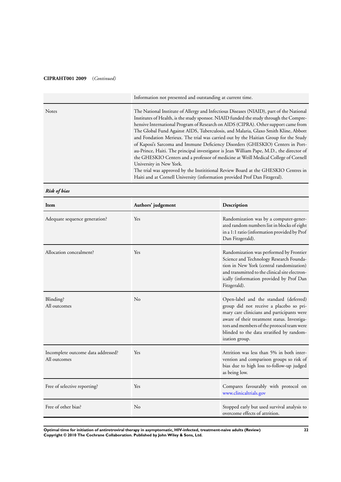## **CIPRAHT001 2009** (*Continued)*

|              | Information not presented and outstanding at current time.                                                                                                                                                                                                                                                                                                                                                                                                                                                                                                                                                                                                                                                                                                                                                                                                                                                               |
|--------------|--------------------------------------------------------------------------------------------------------------------------------------------------------------------------------------------------------------------------------------------------------------------------------------------------------------------------------------------------------------------------------------------------------------------------------------------------------------------------------------------------------------------------------------------------------------------------------------------------------------------------------------------------------------------------------------------------------------------------------------------------------------------------------------------------------------------------------------------------------------------------------------------------------------------------|
| <b>Notes</b> | The National Institute of Allergy and Infectious Diseases (NIAID), part of the National<br>Institutes of Health, is the study sponsor. NIAID funded the study through the Compre-<br>hensive International Program of Research on AIDS (CIPRA). Other support came from<br>The Global Fund Against AIDS, Tuberculosis, and Malaria, Glaxo Smith Kline, Abbott<br>and Fondation Merieux. The trial was carried out by the Haitian Group for the Study<br>of Kaposi's Sarcoma and Immune Deficiency Disorders (GHESKIO) Centers in Port-<br>au-Prince, Haiti. The principal investigator is Jean William Pape, M.D., the director of<br>the GHESKIO Centers and a professor of medicine at Weill Medical College of Cornell<br>University in New York.<br>The trial was approved by the Institutional Review Board at the GHESKIO Centres in<br>Haiti and at Cornell University (information provided Prof Dan Fitzgeral). |

## *Risk of bias*

| Item                                               | Authors' judgement | Description                                                                                                                                                                                                                                                                                 |
|----------------------------------------------------|--------------------|---------------------------------------------------------------------------------------------------------------------------------------------------------------------------------------------------------------------------------------------------------------------------------------------|
| Adequate sequence generation?                      | Yes                | Randomization was by a computer-gener-<br>ated random numbers list in blocks of eight<br>in a 1:1 ratio (information provided by Prof<br>Dan Fitzgerald).                                                                                                                                   |
| Allocation concealment?                            | Yes                | Randomization was performed by Frontier<br>Science and Technology Research Founda-<br>tion in New York (central randomization)<br>and transmitted to the clinical site electron-<br>ically (information provided by Prof Dan<br>Fitzgerald).                                                |
| Blinding?<br>All outcomes                          | No                 | Open-label and the standard (deferred)<br>group did not receive a placebo so pri-<br>mary care clinicians and participants were<br>aware of their treatment status. Investiga-<br>tors and members of the protocol team were<br>blinded to the data stratified by random-<br>ization group. |
| Incomplete outcome data addressed?<br>All outcomes | Yes                | Attrition was less than 5% in both inter-<br>vention and comparison groups so risk of<br>bias due to high loss to-follow-up judged<br>as being low.                                                                                                                                         |
| Free of selective reporting?                       | Yes                | Compares favourably with protocol on<br>www.clinicaltrials.gov                                                                                                                                                                                                                              |
| Free of other bias?                                | No                 | Stopped early but used survival analysis to<br>overcome effects of attrition.                                                                                                                                                                                                               |

**Optimal time for initiation of antiretroviral therapy in asymptomatic, HIV-infected, treatment-naive adults (Review) 22 Copyright © 2010 The Cochrane Collaboration. Published by John Wiley & Sons, Ltd.**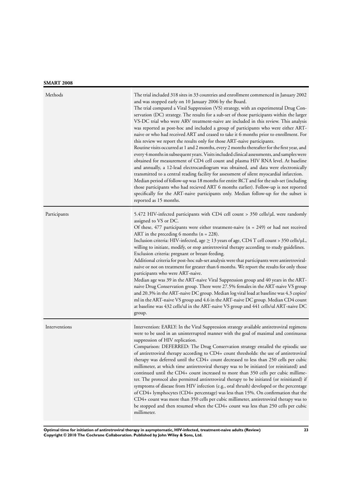| SMART 2008 |  |  |
|------------|--|--|
|            |  |  |

| Methods       | The trial included 318 sites in 33 countries and enrollment commenced in January 2002<br>and was stopped early on 10 January 2006 by the Board.<br>The trial compared a Viral Suppression (VS) strategy, with an experimental Drug Con-<br>servation (DC) strategy. The results for a sub-set of those participants within the larger<br>VS-DC trial who were ARV treatment-naive are included in this review. This analysis<br>was reported as post-hoc and included a group of participants who were either ART-<br>naive or who had received ART and ceased to take it 6 months prior to enrollment. For<br>this review we report the results only for those ART-naive participants.<br>Routine visits occurred at 1 and 2 months, every 2 months thereafter for the first year, and<br>every 4 months in subsequent years. Visits included clinical assessments, and samples were<br>obtained for measurement of CD4 cell count and plasma HIV RNA level. At baseline<br>and annually, a 12-lead electrocardiogram was obtained, and data were electronically<br>transmitted to a central reading facility for assessment of silent myocardial infarction.<br>Median period of follow-up was 18 months for entire RCT and for the sub-set (including<br>those participants who had recieved ART 6 months earlier). Follow-up is not reported<br>specifically for the ART-naive participants only. Median follow-up for the subset is<br>reported as 15 months. |  |
|---------------|--------------------------------------------------------------------------------------------------------------------------------------------------------------------------------------------------------------------------------------------------------------------------------------------------------------------------------------------------------------------------------------------------------------------------------------------------------------------------------------------------------------------------------------------------------------------------------------------------------------------------------------------------------------------------------------------------------------------------------------------------------------------------------------------------------------------------------------------------------------------------------------------------------------------------------------------------------------------------------------------------------------------------------------------------------------------------------------------------------------------------------------------------------------------------------------------------------------------------------------------------------------------------------------------------------------------------------------------------------------------------------------------------------------------------------------------------------------------|--|
| Participants  | 5.472 HIV-infected participants with CD4 cell count > 350 cells/µL were randomly<br>assigned to VS or DC.<br>Of these, $477$ participants were either treatment-naive ( $n = 249$ ) or had not received<br>ART in the preceding 6 months ( $n = 228$ ).<br>Inclusion criteria: HIV-infected, age $\geq$ 13 years of age, CD4 T cell count > 350 cells/ $\mu$ L,<br>willing to initiate, modify, or stop antiretroviral therapy according to study guidelines.<br>Exclusion criteria: pregnant or breast-feeding.<br>Additional criteria for post-hoc sub-set analysis were that participants were antiretroviral-<br>naive or not on treatment for greater than 6 months. We report the results for only those<br>participants who were ART-naive.<br>Median age was 39 in the ART-naive Viral Suppression group and 40 years in the ART-<br>naive Drug Conservation group. There were 27.5% females in the ART-naive VS group<br>and 20.3% in the ART-naive DC group. Median log viral load at baseline was 4.3 copies/<br>ml in the ART-naive VS group and 4.6 in the ART-naive DC group. Median CD4 count<br>at baseline was 432 cells/ul in the ART-naive VS group and 441 cells/ul ART-naive DC<br>group.                                                                                                                                                                                                                                                     |  |
| Interventions | Intervention: EARLY: In the Viral Suppression strategy available antiretroviral regimens<br>were to be used in an uninterrupted manner with the goal of maximal and continuous<br>suppression of HIV replication.<br>Comparison: DEFERRED: The Drug Conservation strategy entailed the episodic use<br>of antiretroviral therapy according to CD4+ count thresholds: the use of antiretroviral<br>therapy was deferred until the CD4+ count decreased to less than 250 cells per cubic<br>millimeter, at which time antiretroviral therapy was to be initiated (or reinitiated) and<br>continued until the CD4+ count increased to more than 350 cells per cubic millime-<br>ter. The protocol also permitted antiretroviral therapy to be initiated (or reinitiated) if<br>symptoms of disease from HIV infection (e.g., oral thrush) developed or the percentage<br>of CD4+ lymphocytes (CD4+ percentage) was less than 15%. On confirmation that the<br>CD4+ count was more than 350 cells per cubic millimeter, antiretroviral therapy was to<br>be stopped and then resumed when the CD4+ count was less than 250 cells per cubic<br>millimeter.                                                                                                                                                                                                                                                                                                              |  |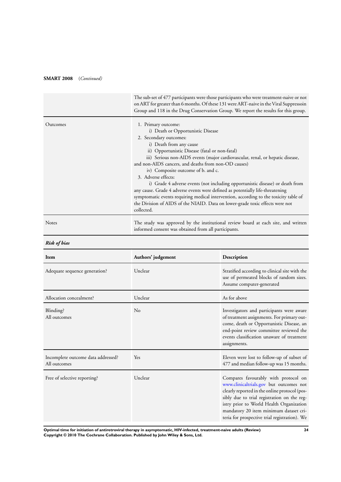## **SMART 2008** (*Continued)*

|              | The sub-set of 477 participants were those participants who were treatment-naive or not<br>on ART for greater than 6 months. Of these 131 were ART-naive in the Viral Suppressoin<br>Group and 118 in the Drug Conservation Group. We report the results for this group.                                                                                                                                                                                                                                                                                                                                                                                                                                                          |
|--------------|-----------------------------------------------------------------------------------------------------------------------------------------------------------------------------------------------------------------------------------------------------------------------------------------------------------------------------------------------------------------------------------------------------------------------------------------------------------------------------------------------------------------------------------------------------------------------------------------------------------------------------------------------------------------------------------------------------------------------------------|
| Outcomes     | 1. Primary outcome:<br>i) Death or Opportunistic Disease<br>2. Secondary outcomes:<br>i) Death from any cause<br>ii) Opportunistic Disease (fatal or non-fatal)<br>iii) Serious non-AIDS events (major cardiovascular, renal, or hepatic disease,<br>and non-AIDS cancers, and deaths from non-OD causes)<br>iv) Composite outcome of b. and c.<br>3. Adverse effects:<br>i) Grade 4 adverse events (not including opportunistic disease) or death from<br>any cause. Grade 4 adverse events were defined as potentially life-threatening<br>symptomatic events requiring medical intervention, according to the toxicity table of<br>the Division of AIDS of the NIAID. Data on lower-grade toxic effects were not<br>collected. |
| <b>Notes</b> | The study was approved by the institutional review board at each site, and written<br>informed consent was obtained from all participants.                                                                                                                                                                                                                                                                                                                                                                                                                                                                                                                                                                                        |

## *Risk of bias*

| Item                                               | Authors' judgement | Description                                                                                                                                                                                                                                                                                                            |
|----------------------------------------------------|--------------------|------------------------------------------------------------------------------------------------------------------------------------------------------------------------------------------------------------------------------------------------------------------------------------------------------------------------|
| Adequate sequence generation?                      | Unclear            | Stratified according to clinical site with the<br>use of permeated blocks of random sizes.<br>Assume computer-generated                                                                                                                                                                                                |
| Allocation concealment?                            | Unclear            | As for above                                                                                                                                                                                                                                                                                                           |
| Blinding?<br>All outcomes                          | No                 | Investigators and participants were aware<br>of treatment assignments. For primary out-<br>come, death or Opportunistic Disease, an<br>end-point review committee reviewed the<br>events classification unaware of treatment<br>assignments.                                                                           |
| Incomplete outcome data addressed?<br>All outcomes | Yes                | Eleven were lost to follow-up of subset of<br>477 and median follow-up was 15 months.                                                                                                                                                                                                                                  |
| Free of selective reporting?                       | Unclear            | Compares favourably with protocol on<br>www.clinicaltrials.gov but outcomes not<br>clearly reported in the online protocol (pos-<br>sibly due to trial registration on the reg-<br>istry prior to World Health Organization<br>mandatory 20 item minimum dataset cri-<br>teria for prospective trial registration). We |

**Optimal time for initiation of antiretroviral therapy in asymptomatic, HIV-infected, treatment-naive adults (Review) 24 Copyright © 2010 The Cochrane Collaboration. Published by John Wiley & Sons, Ltd.**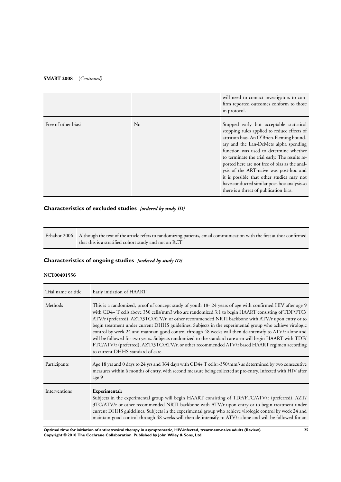## <span id="page-26-0"></span>**SMART 2008** (*Continued)*

|                     |          | will need to contact investigators to con-<br>firm reported outcomes conform to those<br>in protocol.                                                                                                                                                                                                                                                                                                                                                                                                     |
|---------------------|----------|-----------------------------------------------------------------------------------------------------------------------------------------------------------------------------------------------------------------------------------------------------------------------------------------------------------------------------------------------------------------------------------------------------------------------------------------------------------------------------------------------------------|
| Free of other bias? | $\rm No$ | Stopped early but acceptable statistical<br>stopping rules applied to reduce effects of<br>attrition bias. An O'Brien-Fleming bound-<br>ary and the Lan-DeMets alpha spending<br>function was used to determine whether<br>to terminate the trial early. The results re-<br>ported here are not free of bias as the anal-<br>ysis of the ART-naive was post-hoc and<br>it is possible that other studies may not<br>have conducted similar post-hoc analysis so<br>there is a threat of publication bias. |

## **Characteristics of excluded studies** *[ordered by study ID]*

| Erhabor 2006 Although the text of the article refers to randomizing patients, email communication with the first author confirmed |
|-----------------------------------------------------------------------------------------------------------------------------------|
| that this is a stratified cohort study and not an RCT                                                                             |

## **Characteristics of ongoing studies** *[ordered by study ID]*

## **NCT00491556**

| Trial name or title | Early initiation of HAART                                                                                                                                                                                                                                                                                                                                                                                                                                                                                                                                                                                                                                                                                                                                                                 |
|---------------------|-------------------------------------------------------------------------------------------------------------------------------------------------------------------------------------------------------------------------------------------------------------------------------------------------------------------------------------------------------------------------------------------------------------------------------------------------------------------------------------------------------------------------------------------------------------------------------------------------------------------------------------------------------------------------------------------------------------------------------------------------------------------------------------------|
| Methods             | This is a randomized, proof of concept study of youth 18-24 years of age with confirmed HIV after age 9<br>with CD4+ T cells above 350 cells/mm3 who are randomized 3:1 to begin HAART consisting of TDF/FTC/<br>ATV/r (preferred), AZT/3TC/ATV/r, or other recommended NRTI backbone with ATV/r upon entry or to<br>begin treatment under current DHHS guidelines. Subjects in the experimental group who achieve virologic<br>control by week 24 and maintain good control through 48 weeks will then de-intensify to ATV/r alone and<br>will be followed for two years. Subjects randomized to the standard care arm will begin HAART with TDF/<br>FTC/ATV/r (preferred), AZT/3TC/ATV/r, or other recommended ATV/r based HAART regimen according<br>to current DHHS standard of care. |
| Participants        | Age 18 yrs and 0 days to 24 yrs and 364 days with CD4+ T cells > 350/mm3 as determined by two consecutive<br>measures within 6 months of entry, with second measure being collected at pre-entry. Infected with HIV after<br>age 9                                                                                                                                                                                                                                                                                                                                                                                                                                                                                                                                                        |
| Interventions       | Experimental:<br>Subjects in the experimental group will begin HAART consisting of TDF/FTC/ATV/r (preferred), AZT/<br>3TC/ATV/r or other recommended NRTI backbone with ATV/r upon entry or to begin treatment under<br>current DHHS guidelines. Subjects in the experimental group who achieve virologic control by week 24 and<br>maintain good control through 48 weeks will then de-intensify to ATV/r alone and will be followed for an                                                                                                                                                                                                                                                                                                                                              |

**Optimal time for initiation of antiretroviral therapy in asymptomatic, HIV-infected, treatment-naive adults (Review) 25 Copyright © 2010 The Cochrane Collaboration. Published by John Wiley & Sons, Ltd.**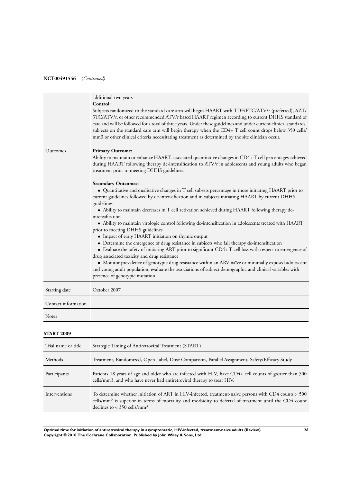## **NCT00491556** (*Continued)*

|                     | additional two years<br>Control:<br>Subjects randomized to the standard care arm will begin HAART with TDF/FTC/ATV/r (preferred), AZT/<br>3TC/ATV/r, or other recommended ATV/r based HAART regimen according to current DHHS standard of<br>care and will be followed for a total of three years. Under these guidelines and under current clinical standards,<br>subjects on the standard care arm will begin therapy when the CD4+ T cell count drops below 350 cells/<br>mm3 or other clinical criteria necessitating treatment as determined by the site clinician occur. |
|---------------------|--------------------------------------------------------------------------------------------------------------------------------------------------------------------------------------------------------------------------------------------------------------------------------------------------------------------------------------------------------------------------------------------------------------------------------------------------------------------------------------------------------------------------------------------------------------------------------|
| Outcomes            | <b>Primary Outcome:</b><br>Ability to maintain or enhance HAART-associated quantitative changes in CD4+ T cell percentages achieved<br>during HAART following therapy de-intensification to ATV/r in adolescents and young adults who began<br>treatment prior to meeting DHHS guidelines.                                                                                                                                                                                                                                                                                     |
|                     | <b>Secondary Outcomes:</b><br>• Quantitative and qualitative changes in T cell subsets percentage in those initiating HAART prior to<br>current guidelines followed by de-intensification and in subjects initiating HAART by current DHHS<br>guidelines<br>• Ability to maintain decreases in T cell activation achieved during HAART following therapy de-<br>intensification<br>• Ability to maintain virologic control following de-intensification in adolescents treated with HAART<br>prior to meeting DHHS guidelines                                                  |
|                     | • Impact of early HAART initiation on thymic output<br>• Determine the emergence of drug resistance in subjects who fail therapy de-intensification<br>• Evaluate the safety of initiating ART prior to significant CD4+ T cell loss with respect to emergence of<br>drug associated toxicity and drug resistance<br>• Monitor prevalence of genotypic drug resistance within an ARV naïve or minimally exposed adolescent<br>and young adult population; evaluate the associations of subject demographic and clinical variables with<br>presence of genotypic mutation       |
| Starting date       | October 2007                                                                                                                                                                                                                                                                                                                                                                                                                                                                                                                                                                   |
| Contact information |                                                                                                                                                                                                                                                                                                                                                                                                                                                                                                                                                                                |

Notes

## **START 2009**

| Trial name or title | Strategic Timing of Antiretroviral Treatment (START)                                                                                                                                                                                                                      |
|---------------------|---------------------------------------------------------------------------------------------------------------------------------------------------------------------------------------------------------------------------------------------------------------------------|
| Methods             | Treatment, Randomized, Open Label, Dose Comparison, Parallel Assignment, Safety/Efficacy Study                                                                                                                                                                            |
| Participants        | Patients 18 years of age and older who are infected with HIV, have CD4+ cell counts of greater than 500<br>cells/mm3, and who have never had antiretroviral therapy to treat HIV.                                                                                         |
| Interventions       | To determine whether initiation of ART in HIV-infected, treatment-naive persons with CD4 counts > 500<br>cells/mm <sup>3</sup> is superior in terms of mortality and morbidity to deferral of treatment until the CD4 count<br>declines to < $350$ cells/mm <sup>3.</sup> |

**Optimal time for initiation of antiretroviral therapy in asymptomatic, HIV-infected, treatment-naive adults (Review) 26 Copyright © 2010 The Cochrane Collaboration. Published by John Wiley & Sons, Ltd.**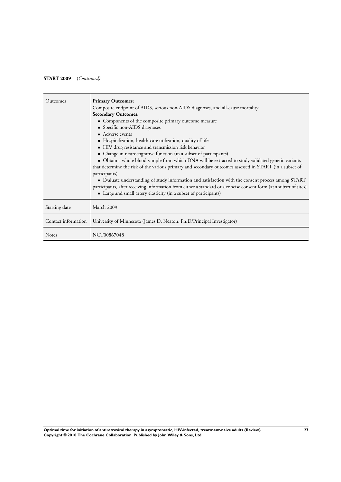## **START 2009** (*Continued)*

| Outcomes      | <b>Primary Outcomes:</b><br>Composite endpoint of AIDS, serious non-AIDS diagnoses, and all-cause mortality<br><b>Secondary Outcomes:</b><br>• Components of the composite primary outcome measure<br>• Specific non-AIDS diagnoses<br>• Adverse events<br>• Hospitalization, health-care utilization, quality of life<br>• HIV drug resistance and transmission risk behavior<br>• Change in neurocognitive function (in a subset of participants)<br>• Obtain a whole blood sample from which DNA will be extracted to study validated genetic variants<br>that determine the risk of the various primary and secondary outcomes assessed in START (in a subset of<br>participants)<br>• Evaluate understanding of study information and satisfaction with the consent process among START<br>participants, after receiving information from either a standard or a concise consent form (at a subset of sites)<br>• Large and small artery elasticity (in a subset of participants) |
|---------------|----------------------------------------------------------------------------------------------------------------------------------------------------------------------------------------------------------------------------------------------------------------------------------------------------------------------------------------------------------------------------------------------------------------------------------------------------------------------------------------------------------------------------------------------------------------------------------------------------------------------------------------------------------------------------------------------------------------------------------------------------------------------------------------------------------------------------------------------------------------------------------------------------------------------------------------------------------------------------------------|
| Starting date | March 2009                                                                                                                                                                                                                                                                                                                                                                                                                                                                                                                                                                                                                                                                                                                                                                                                                                                                                                                                                                             |
|               | Contact information University of Minnesota (James D. Neaton, Ph.D/Principal Investigator)                                                                                                                                                                                                                                                                                                                                                                                                                                                                                                                                                                                                                                                                                                                                                                                                                                                                                             |
| <b>Notes</b>  | NCT00867048                                                                                                                                                                                                                                                                                                                                                                                                                                                                                                                                                                                                                                                                                                                                                                                                                                                                                                                                                                            |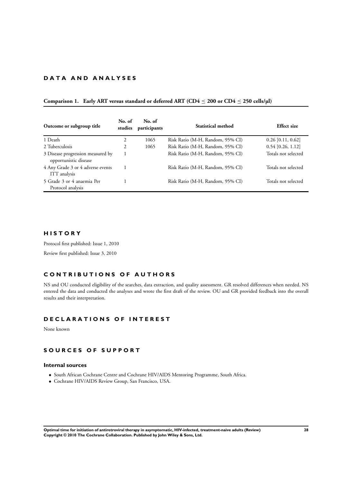## **D A T A A N D A N A L Y S E S**

## **Comparison 1. Early ART versus standard or deferred ART (CD4** ≤ **200 or CD4** ≤ **250 cells/µl)**

| Outcome or subgroup title                                  | No. of<br>studies | No. of<br>participants | <b>Statistical method</b>        | <b>Effect size</b>  |
|------------------------------------------------------------|-------------------|------------------------|----------------------------------|---------------------|
| 1 Death                                                    | 2                 | 1065                   | Risk Ratio (M-H, Random, 95% CI) | $0.26$ [0.11, 0.62] |
| 2 Tuberculosis                                             | 2                 | 1065                   | Risk Ratio (M-H, Random, 95% CI) | $0.54$ [0.26, 1.12] |
| 3 Disease progression measured by<br>opportunistic disease |                   |                        | Risk Ratio (M-H, Random, 95% CI) | Totals not selected |
| 4 Any Grade 3 or 4 adverse events<br>ITT analysis          |                   |                        | Risk Ratio (M-H, Random, 95% CI) | Totals not selected |
| 5 Grade 3 or 4 anaemia Per<br>Protocol analysis            |                   |                        | Risk Ratio (M-H, Random, 95% CI) | Totals not selected |

## **H I S T O R Y**

Protocol first published: Issue 1, 2010

Review first published: Issue 3, 2010

## **C O N T R I B U T I O N S O F A U T H O R S**

NS and OU conducted eligibility of the searches, data extraction, and quality assessment. GR resolved differences when needed. NS entered the data and conducted the analyses and wrote the first draft of the review. OU and GR provided feedback into the overall results and their interpretation.

## **D E C L A R A T I O N S O F I N T E R E S T**

None known

## **S O U R C E S O F S U P P O R T**

## **Internal sources**

- South African Cochrane Centre and Cochrane HIV/AIDS Mentoring Programme, South Africa.
- Cochrane HIV/AIDS Review Group, San Francisco, USA.